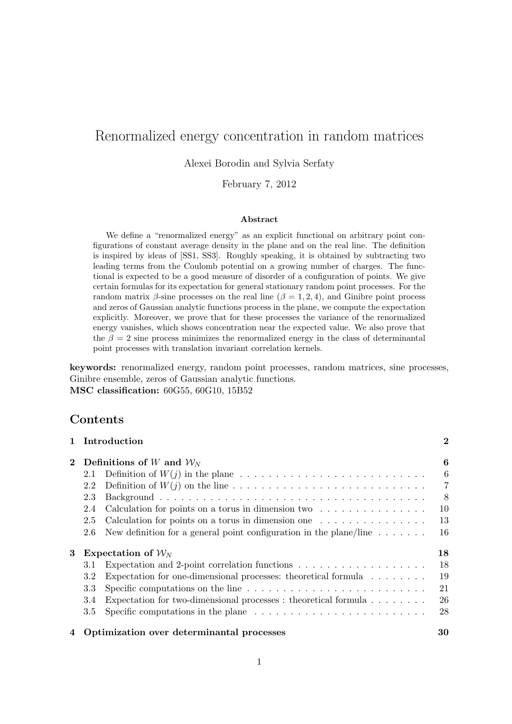# Renormalized energy concentration in random matrices

Alexei Borodin and Sylvia Serfaty

February 7, 2012

#### Abstract

We define a "renormalized energy" as an explicit functional on arbitrary point configurations of constant average density in the plane and on the real line. The definition is inspired by ideas of [SS1, SS3]. Roughly speaking, it is obtained by subtracting two leading terms from the Coulomb potential on a growing number of charges. The functional is expected to be a good measure of disorder of a configuration of points. We give certain formulas for its expectation for general stationary random point processes. For the random matrix  $\beta$ -sine processes on the real line  $(\beta = 1, 2, 4)$ , and Ginibre point process and zeros of Gaussian analytic functions process in the plane, we compute the expectation explicitly. Moreover, we prove that for these processes the variance of the renormalized energy vanishes, which shows concentration near the expected value. We also prove that the  $\beta = 2$  sine process minimizes the renormalized energy in the class of determinantal point processes with translation invariant correlation kernels.

keywords: renormalized energy, random point processes, random matrices, sine processes, Ginibre ensemble, zeros of Gaussian analytic functions. MSC classification: 60G55, 60G10, 15B52

## Contents

|   |                              | 1 Introduction                                                                                     | $\mathbf 2$    |
|---|------------------------------|----------------------------------------------------------------------------------------------------|----------------|
|   | 2 Definitions of W and $W_N$ |                                                                                                    |                |
|   | 2.1                          |                                                                                                    | 6              |
|   | 2.2                          |                                                                                                    | $\overline{7}$ |
|   | 2.3                          |                                                                                                    | -8             |
|   | 2.4                          | Calculation for points on a torus in dimension two $\dots \dots \dots \dots \dots$                 | 10             |
|   | 2.5                          | Calculation for points on a torus in dimension one $\dots \dots \dots \dots \dots$                 | 13             |
|   | 2.6                          | New definition for a general point configuration in the plane/line $\dots \dots$                   | 16             |
| 3 |                              | Expectation of $\mathcal{W}_N$                                                                     | 18             |
|   | 3.1                          | Expectation and 2-point correlation functions $\dots \dots \dots \dots \dots \dots$                | 18             |
|   | 3.2                          | Expectation for one-dimensional processes: theoretical formula                                     | 19             |
|   | 3.3                          | Specific computations on the line $\ldots \ldots \ldots \ldots \ldots \ldots \ldots \ldots \ldots$ | 21             |
|   | 3.4                          | Expectation for two-dimensional processes : theoretical formula $\dots \dots$                      | 26             |
|   | 3.5                          | Specific computations in the plane $\dots \dots \dots \dots \dots \dots \dots \dots \dots$         | 28             |
|   |                              |                                                                                                    |                |

4 Optimization over determinantal processes 30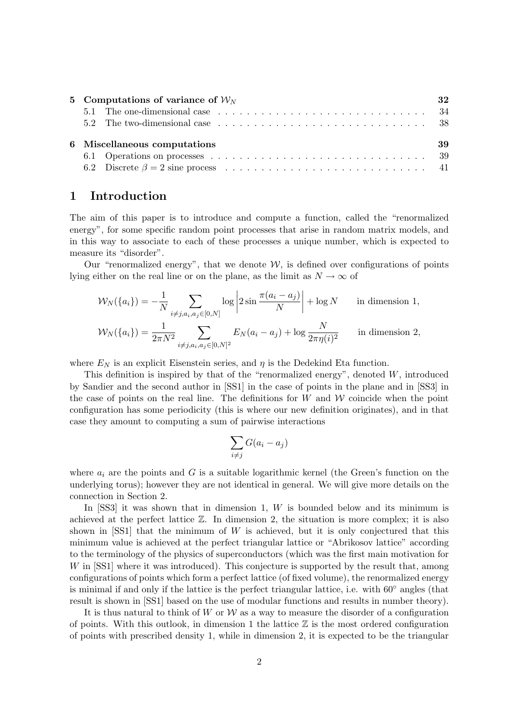| 5 Computations of variance of $W_N$                                                                                   | 32 |  |  |  |
|-----------------------------------------------------------------------------------------------------------------------|----|--|--|--|
| 5.1 The one-dimensional case $\ldots \ldots \ldots \ldots \ldots \ldots \ldots \ldots \ldots \ldots$                  |    |  |  |  |
| 5.2 The two-dimensional case entering in the case of the case of the case of the case of the case of the case of $38$ |    |  |  |  |
| 6 Miscellaneous computations<br>39                                                                                    |    |  |  |  |
|                                                                                                                       |    |  |  |  |
|                                                                                                                       |    |  |  |  |

## 1 Introduction

The aim of this paper is to introduce and compute a function, called the "renormalized energy", for some specific random point processes that arise in random matrix models, and in this way to associate to each of these processes a unique number, which is expected to measure its "disorder".

Our "renormalized energy", that we denote  $W$ , is defined over configurations of points lying either on the real line or on the plane, as the limit as  $N \to \infty$  of

$$
\mathcal{W}_{N}(\{a_{i}\}) = -\frac{1}{N} \sum_{i \neq j, a_{i}, a_{j} \in [0, N]} \log \left|2 \sin \frac{\pi (a_{i} - a_{j})}{N}\right| + \log N \quad \text{in dimension 1,}
$$
  

$$
\mathcal{W}_{N}(\{a_{i}\}) = \frac{1}{2\pi N^{2}} \sum_{i \neq j, a_{i}, a_{j} \in [0, N]^{2}} E_{N}(a_{i} - a_{j}) + \log \frac{N}{2\pi \eta(i)^{2}} \quad \text{in dimension 2,}
$$

where  $E<sub>N</sub>$  is an explicit Eisenstein series, and  $\eta$  is the Dedekind Eta function.

This definition is inspired by that of the "renormalized energy", denoted  $W$ , introduced by Sandier and the second author in [SS1] in the case of points in the plane and in [SS3] in the case of points on the real line. The definitions for  $W$  and  $W$  coincide when the point configuration has some periodicity (this is where our new definition originates), and in that case they amount to computing a sum of pairwise interactions

$$
\sum_{i \neq j} G(a_i - a_j)
$$

where  $a_i$  are the points and G is a suitable logarithmic kernel (the Green's function on the underlying torus); however they are not identical in general. We will give more details on the connection in Section 2.

In [SS3] it was shown that in dimension 1, W is bounded below and its minimum is achieved at the perfect lattice  $\mathbb{Z}$ . In dimension 2, the situation is more complex; it is also shown in  $[SS1]$  that the minimum of W is achieved, but it is only conjectured that this minimum value is achieved at the perfect triangular lattice or "Abrikosov lattice" according to the terminology of the physics of superconductors (which was the first main motivation for W in [SS1] where it was introduced). This conjecture is supported by the result that, among configurations of points which form a perfect lattice (of fixed volume), the renormalized energy is minimal if and only if the lattice is the perfect triangular lattice, i.e. with 60◦ angles (that result is shown in [SS1] based on the use of modular functions and results in number theory).

It is thus natural to think of W or  $W$  as a way to measure the disorder of a configuration of points. With this outlook, in dimension 1 the lattice  $\mathbb Z$  is the most ordered configuration of points with prescribed density 1, while in dimension 2, it is expected to be the triangular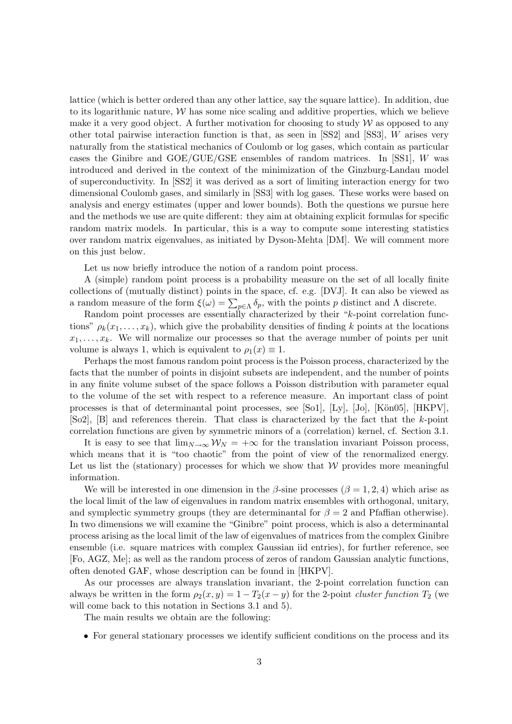lattice (which is better ordered than any other lattice, say the square lattice). In addition, due to its logarithmic nature,  $W$  has some nice scaling and additive properties, which we believe make it a very good object. A further motivation for choosing to study  $W$  as opposed to any other total pairwise interaction function is that, as seen in [SS2] and [SS3], W arises very naturally from the statistical mechanics of Coulomb or log gases, which contain as particular cases the Ginibre and GOE/GUE/GSE ensembles of random matrices. In [SS1], W was introduced and derived in the context of the minimization of the Ginzburg-Landau model of superconductivity. In [SS2] it was derived as a sort of limiting interaction energy for two dimensional Coulomb gases, and similarly in [SS3] with log gases. These works were based on analysis and energy estimates (upper and lower bounds). Both the questions we pursue here and the methods we use are quite different: they aim at obtaining explicit formulas for specific random matrix models. In particular, this is a way to compute some interesting statistics over random matrix eigenvalues, as initiated by Dyson-Mehta [DM]. We will comment more on this just below.

Let us now briefly introduce the notion of a random point process.

A (simple) random point process is a probability measure on the set of all locally finite collections of (mutually distinct) points in the space, cf. e.g. [DVJ]. It can also be viewed as a random measure of the form  $\xi(\omega) = \sum_{p \in \Lambda} \delta_p$ , with the points p distinct and  $\Lambda$  discrete.

Random point processes are essentially characterized by their "k-point correlation functions"  $\rho_k(x_1, \ldots, x_k)$ , which give the probability densities of finding k points at the locations  $x_1, \ldots, x_k$ . We will normalize our processes so that the average number of points per unit volume is always 1, which is equivalent to  $\rho_1(x) \equiv 1$ .

Perhaps the most famous random point process is the Poisson process, characterized by the facts that the number of points in disjoint subsets are independent, and the number of points in any finite volume subset of the space follows a Poisson distribution with parameter equal to the volume of the set with respect to a reference measure. An important class of point processes is that of determinantal point processes, see  $[So1]$ ,  $[Ly]$ ,  $[Jo]$ ,  $[Kön05]$ ,  $[HKPV]$ , [So2], [B] and references therein. That class is characterized by the fact that the k-point correlation functions are given by symmetric minors of a (correlation) kernel, cf. Section 3.1.

It is easy to see that  $\lim_{N\to\infty} \mathcal{W}_N = +\infty$  for the translation invariant Poisson process, which means that it is "too chaotic" from the point of view of the renormalized energy. Let us list the (stationary) processes for which we show that  $W$  provides more meaningful information.

We will be interested in one dimension in the  $\beta$ -sine processes  $(\beta = 1, 2, 4)$  which arise as the local limit of the law of eigenvalues in random matrix ensembles with orthogonal, unitary, and symplectic symmetry groups (they are determinantal for  $\beta = 2$  and Pfaffian otherwise). In two dimensions we will examine the "Ginibre" point process, which is also a determinantal process arising as the local limit of the law of eigenvalues of matrices from the complex Ginibre ensemble (i.e. square matrices with complex Gaussian iid entries), for further reference, see [Fo, AGZ, Me]; as well as the random process of zeros of random Gaussian analytic functions, often denoted GAF, whose description can be found in [HKPV].

As our processes are always translation invariant, the 2-point correlation function can always be written in the form  $\rho_2(x, y) = 1 - T_2(x - y)$  for the 2-point *cluster function*  $T_2$  (we will come back to this notation in Sections 3.1 and 5).

The main results we obtain are the following:

• For general stationary processes we identify sufficient conditions on the process and its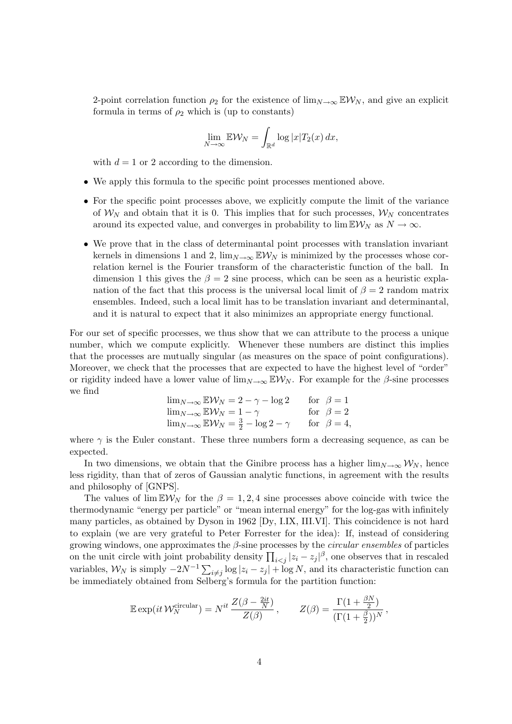2-point correlation function  $\rho_2$  for the existence of lim<sub>N→∞</sub>  $EW_N$ , and give an explicit formula in terms of  $\rho_2$  which is (up to constants)

$$
\lim_{N \to \infty} \mathbb{E} \mathcal{W}_N = \int_{\mathbb{R}^d} \log |x| T_2(x) \, dx,
$$

with  $d = 1$  or 2 according to the dimension.

- We apply this formula to the specific point processes mentioned above.
- For the specific point processes above, we explicitly compute the limit of the variance of  $W_N$  and obtain that it is 0. This implies that for such processes,  $W_N$  concentrates around its expected value, and converges in probability to  $\lim \mathbb{E} \mathcal{W}_N$  as  $N \to \infty$ .
- We prove that in the class of determinantal point processes with translation invariant kernels in dimensions 1 and 2,  $\lim_{N\to\infty}$  EW<sub>N</sub> is minimized by the processes whose correlation kernel is the Fourier transform of the characteristic function of the ball. In dimension 1 this gives the  $\beta = 2$  sine process, which can be seen as a heuristic explanation of the fact that this process is the universal local limit of  $\beta = 2$  random matrix ensembles. Indeed, such a local limit has to be translation invariant and determinantal, and it is natural to expect that it also minimizes an appropriate energy functional.

For our set of specific processes, we thus show that we can attribute to the process a unique number, which we compute explicitly. Whenever these numbers are distinct this implies that the processes are mutually singular (as measures on the space of point configurations). Moreover, we check that the processes that are expected to have the highest level of "order" or rigidity indeed have a lower value of  $\lim_{N\to\infty}$  EW<sub>N</sub>. For example for the  $\beta$ -sine processes we find

$$
\lim_{N \to \infty} \mathbb{E} \mathcal{W}_N = 2 - \gamma - \log 2 \quad \text{for } \beta = 1
$$
  
\n
$$
\lim_{N \to \infty} \mathbb{E} \mathcal{W}_N = 1 - \gamma \quad \text{for } \beta = 2
$$
  
\n
$$
\lim_{N \to \infty} \mathbb{E} \mathcal{W}_N = \frac{3}{2} - \log 2 - \gamma \quad \text{for } \beta = 4
$$

where  $\gamma$  is the Euler constant. These three numbers form a decreasing sequence, as can be expected.

In two dimensions, we obtain that the Ginibre process has a higher  $\lim_{N\to\infty} \mathcal{W}_N$ , hence less rigidity, than that of zeros of Gaussian analytic functions, in agreement with the results and philosophy of [GNPS].

The values of  $\lim_{N \to \infty} E W_N$  for the  $\beta = 1, 2, 4$  sine processes above coincide with twice the thermodynamic "energy per particle" or "mean internal energy" for the log-gas with infinitely many particles, as obtained by Dyson in 1962 [Dy, I.IX, III.VI]. This coincidence is not hard to explain (we are very grateful to Peter Forrester for the idea): If, instead of considering growing windows, one approximates the  $\beta$ -sine processes by the *circular ensembles* of particles on the unit circle with joint probability density  $\prod_{i < j} |z_i - z_j|^\beta$ , one observes that in rescaled variables,  $W_N$  is simply  $-2N^{-1}\sum_{i\neq j}\log|z_i-z_j|+\log N$ , and its characteristic function can be immediately obtained from Selberg's formula for the partition function:

$$
\mathbb{E} \exp(it \mathcal{W}_N^{\text{circular}}) = N^{it} \frac{Z(\beta - \frac{2it}{N})}{Z(\beta)}, \qquad Z(\beta) = \frac{\Gamma(1 + \frac{\beta N}{2})}{(\Gamma(1 + \frac{\beta}{2}))^N},
$$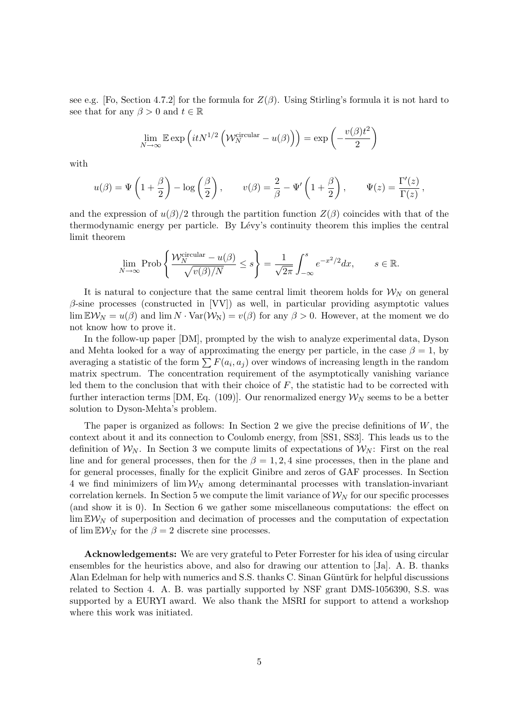see e.g. [Fo, Section 4.7.2] for the formula for  $Z(\beta)$ . Using Stirling's formula it is not hard to see that for any  $\beta > 0$  and  $t \in \mathbb{R}$ 

$$
\lim_{N \to \infty} \mathbb{E} \exp\left(itN^{1/2} \left(\mathcal{W}_N^{\text{circular}} - u(\beta)\right)\right) = \exp\left(-\frac{v(\beta)t^2}{2}\right)
$$

with

$$
u(\beta) = \Psi\left(1 + \frac{\beta}{2}\right) - \log\left(\frac{\beta}{2}\right), \qquad v(\beta) = \frac{2}{\beta} - \Psi'\left(1 + \frac{\beta}{2}\right), \qquad \Psi(z) = \frac{\Gamma'(z)}{\Gamma(z)},
$$

and the expression of  $u(\beta)/2$  through the partition function  $Z(\beta)$  coincides with that of the thermodynamic energy per particle. By Lévy's continuity theorem this implies the central limit theorem

$$
\lim_{N \to \infty} \text{Prob}\left\{ \frac{\mathcal{W}_N^{\text{circular}} - u(\beta)}{\sqrt{v(\beta)/N}} \le s \right\} = \frac{1}{\sqrt{2\pi}} \int_{-\infty}^s e^{-x^2/2} dx, \qquad s \in \mathbb{R}.
$$

It is natural to conjecture that the same central limit theorem holds for  $\mathcal{W}_N$  on general  $\beta$ -sine processes (constructed in [VV]) as well, in particular providing asymptotic values  $\lim \mathbb{E} \mathcal{W}_N = u(\beta)$  and  $\lim N \cdot \text{Var}(\mathcal{W}_N) = v(\beta)$  for any  $\beta > 0$ . However, at the moment we do not know how to prove it.

In the follow-up paper [DM], prompted by the wish to analyze experimental data, Dyson and Mehta looked for a way of approximating the energy per particle, in the case  $\beta = 1$ , by averaging a statistic of the form  $\sum F(a_i, a_j)$  over windows of increasing length in the random matrix spectrum. The concentration requirement of the asymptotically vanishing variance led them to the conclusion that with their choice of  $F$ , the statistic had to be corrected with further interaction terms [DM, Eq. (109)]. Our renormalized energy  $\mathcal{W}_N$  seems to be a better solution to Dyson-Mehta's problem.

The paper is organized as follows: In Section 2 we give the precise definitions of  $W$ , the context about it and its connection to Coulomb energy, from [SS1, SS3]. This leads us to the definition of  $W_N$ . In Section 3 we compute limits of expectations of  $W_N$ : First on the real line and for general processes, then for the  $\beta = 1, 2, 4$  sine processes, then in the plane and for general processes, finally for the explicit Ginibre and zeros of GAF processes. In Section 4 we find minimizers of  $\lim_{N} W_N$  among determinantal processes with translation-invariant correlation kernels. In Section 5 we compute the limit variance of  $\mathcal{W}_N$  for our specific processes (and show it is 0). In Section 6 we gather some miscellaneous computations: the effect on  $\lim \mathbb{E} \mathcal{W}_N$  of superposition and decimation of processes and the computation of expectation of  $\lim \mathbb{E} \mathcal{W}_N$  for the  $\beta = 2$  discrete sine processes.

Acknowledgements: We are very grateful to Peter Forrester for his idea of using circular ensembles for the heuristics above, and also for drawing our attention to [Ja]. A. B. thanks Alan Edelman for help with numerics and S.S. thanks C. Sinan Güntürk for helpful discussions related to Section 4. A. B. was partially supported by NSF grant DMS-1056390, S.S. was supported by a EURYI award. We also thank the MSRI for support to attend a workshop where this work was initiated.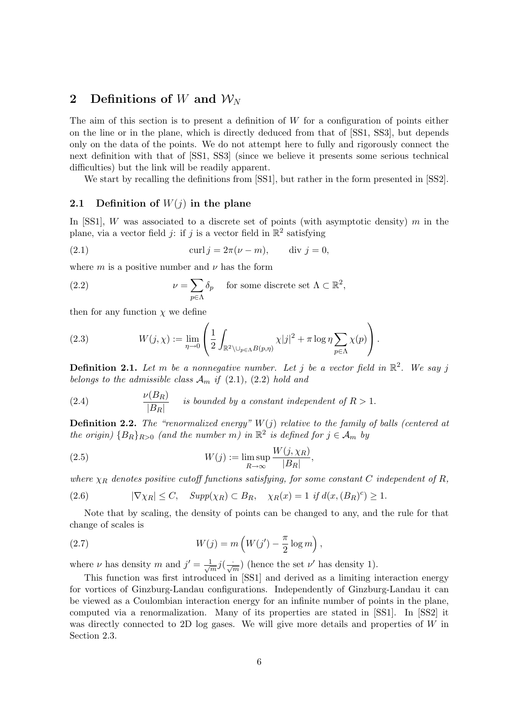## 2 Definitions of W and  $W_N$

The aim of this section is to present a definition of  $W$  for a configuration of points either on the line or in the plane, which is directly deduced from that of [SS1, SS3], but depends only on the data of the points. We do not attempt here to fully and rigorously connect the next definition with that of [SS1, SS3] (since we believe it presents some serious technical difficulties) but the link will be readily apparent.

We start by recalling the definitions from [SS1], but rather in the form presented in [SS2].

### 2.1 Definition of  $W(i)$  in the plane

In [SS1], W was associated to a discrete set of points (with asymptotic density) m in the plane, via a vector field j: if j is a vector field in  $\mathbb{R}^2$  satisfying

(2.1) 
$$
\operatorname{curl} j = 2\pi(\nu - m), \qquad \operatorname{div} j = 0,
$$

where m is a positive number and  $\nu$  has the form

(2.2) 
$$
\nu = \sum_{p \in \Lambda} \delta_p \quad \text{for some discrete set } \Lambda \subset \mathbb{R}^2,
$$

then for any function  $\chi$  we define

(2.3) 
$$
W(j,\chi) := \lim_{\eta \to 0} \left( \frac{1}{2} \int_{\mathbb{R}^2 \setminus \bigcup_{p \in \Lambda} B(p,\eta)} \chi |j|^2 + \pi \log \eta \sum_{p \in \Lambda} \chi(p) \right).
$$

**Definition 2.1.** Let m be a nonnegative number. Let j be a vector field in  $\mathbb{R}^2$ . We say j belongs to the admissible class  $\mathcal{A}_m$  if (2.1), (2.2) hold and

(2.4) 
$$
\frac{\nu(B_R)}{|B_R|}
$$
 is bounded by a constant independent of  $R > 1$ .

**Definition 2.2.** The "renormalized energy"  $W(j)$  relative to the family of balls (centered at the origin)  ${B_R}_{R>0}$  (and the number m) in  $\mathbb{R}^2$  is defined for  $j \in \mathcal{A}_m$  by

(2.5) 
$$
W(j) := \limsup_{R \to \infty} \frac{W(j, \chi_R)}{|B_R|},
$$

where  $\chi_R$  denotes positive cutoff functions satisfying, for some constant C independent of R,

(2.6) 
$$
|\nabla \chi_R| \leq C, \quad Supp(\chi_R) \subset B_R, \quad \chi_R(x) = 1 \text{ if } d(x, (B_R)^c) \geq 1.
$$

Note that by scaling, the density of points can be changed to any, and the rule for that change of scales is

(2.7) 
$$
W(j) = m\left(W(j') - \frac{\pi}{2}\log m\right),
$$

where  $\nu$  has density m and  $j' = \frac{1}{\sqrt{2}}$  $\frac{1}{m}j(\frac{\cdot}{\sqrt{m}})$  (hence the set  $\nu'$  has density 1).

This function was first introduced in [SS1] and derived as a limiting interaction energy for vortices of Ginzburg-Landau configurations. Independently of Ginzburg-Landau it can be viewed as a Coulombian interaction energy for an infinite number of points in the plane, computed via a renormalization. Many of its properties are stated in [SS1]. In [SS2] it was directly connected to 2D log gases. We will give more details and properties of W in Section 2.3.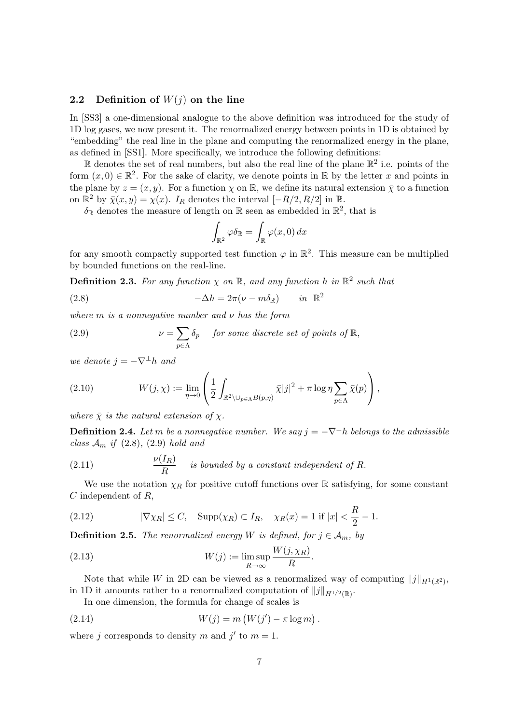### 2.2 Definition of  $W(j)$  on the line

In [SS3] a one-dimensional analogue to the above definition was introduced for the study of 1D log gases, we now present it. The renormalized energy between points in 1D is obtained by "embedding" the real line in the plane and computing the renormalized energy in the plane, as defined in [SS1]. More specifically, we introduce the following definitions:

 $\mathbb R$  denotes the set of real numbers, but also the real line of the plane  $\mathbb R^2$  i.e. points of the form  $(x, 0) \in \mathbb{R}^2$ . For the sake of clarity, we denote points in  $\mathbb R$  by the letter x and points in the plane by  $z = (x, y)$ . For a function  $\chi$  on  $\mathbb{R}$ , we define its natural extension  $\bar{\chi}$  to a function on  $\mathbb{R}^2$  by  $\bar{\chi}(x, y) = \chi(x)$ . I<sub>R</sub> denotes the interval  $[-R/2, R/2]$  in  $\mathbb{R}$ .

 $\delta_{\mathbb{R}}$  denotes the measure of length on  $\mathbb{R}$  seen as embedded in  $\mathbb{R}^2$ , that is

$$
\int_{\mathbb{R}^2} \varphi \delta_{\mathbb{R}} = \int_{\mathbb{R}} \varphi(x,0) \, dx
$$

for any smooth compactly supported test function  $\varphi$  in  $\mathbb{R}^2$ . This measure can be multiplied by bounded functions on the real-line.

**Definition 2.3.** For any function  $\chi$  on  $\mathbb{R}$ , and any function h in  $\mathbb{R}^2$  such that

(2.8) 
$$
-\Delta h = 2\pi(\nu - m\delta_{\mathbb{R}}) \quad in \mathbb{R}^2
$$

where  $m$  is a nonnegative number and  $\nu$  has the form

(2.9) 
$$
\nu = \sum_{p \in \Lambda} \delta_p \quad \text{for some discrete set of points of } \mathbb{R},
$$

we denote  $j = -\nabla^{\perp}h$  and

(2.10) 
$$
W(j,\chi) := \lim_{\eta \to 0} \left( \frac{1}{2} \int_{\mathbb{R}^2 \setminus \bigcup_{p \in \Lambda} B(p,\eta)} \overline{\chi}|j|^2 + \pi \log \eta \sum_{p \in \Lambda} \overline{\chi}(p) \right),
$$

where  $\bar{\chi}$  is the natural extension of  $\chi$ .

**Definition 2.4.** Let m be a nonnegative number. We say  $j = -\nabla^{\perp}h$  belongs to the admissible class  $\mathcal{A}_m$  if (2.8), (2.9) hold and

(2.11) 
$$
\frac{\nu(I_R)}{R}
$$
 is bounded by a constant independent of R.

We use the notation  $\chi_R$  for positive cutoff functions over R satisfying, for some constant  $C$  independent of  $R$ ,

(2.12) 
$$
|\nabla \chi_R| \le C
$$
,  $\text{Supp}(\chi_R) \subset I_R$ ,  $\chi_R(x) = 1$  if  $|x| < \frac{R}{2} - 1$ .

**Definition 2.5.** The renormalized energy W is defined, for  $j \in A_m$ , by

(2.13) 
$$
W(j) := \limsup_{R \to \infty} \frac{W(j, \chi_R)}{R}.
$$

Note that while W in 2D can be viewed as a renormalized way of computing  $||j||_{H^1(\mathbb{R}^2)}$ , in 1D it amounts rather to a renormalized computation of  $||j||_{H^{1/2}(\mathbb{R})}$ .

In one dimension, the formula for change of scales is

(2.14) 
$$
W(j) = m (W(j') - \pi \log m).
$$

where j corresponds to density m and j' to  $m = 1$ .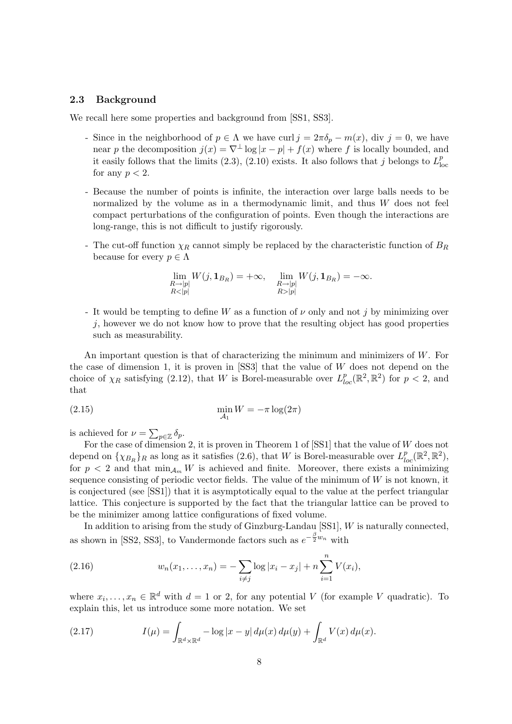#### 2.3 Background

We recall here some properties and background from [SS1, SS3].

- Since in the neighborhood of  $p \in \Lambda$  we have curl  $j = 2\pi \delta_p m(x)$ , div  $j = 0$ , we have near p the decomposition  $j(x) = \nabla^{\perp} \log |x - p| + f(x)$  where f is locally bounded, and it easily follows that the limits (2.3), (2.10) exists. It also follows that j belongs to  $L<sub>b</sub><sup>p</sup>$ loc for any  $p < 2$ .
- Because the number of points is infinite, the interaction over large balls needs to be normalized by the volume as in a thermodynamic limit, and thus W does not feel compact perturbations of the configuration of points. Even though the interactions are long-range, this is not difficult to justify rigorously.
- The cut-off function  $\chi_R$  cannot simply be replaced by the characteristic function of  $B_R$ because for every  $p \in \Lambda$

$$
\lim_{\substack{R\to |p|\\R<|p|}} W(j,\mathbf{1}_{B_R})=+\infty, \quad \lim_{\substack{R\to |p|\\R>|p|}} W(j,\mathbf{1}_{B_R})=-\infty.
$$

- It would be tempting to define W as a function of  $\nu$  only and not j by minimizing over j, however we do not know how to prove that the resulting object has good properties such as measurability.

An important question is that of characterizing the minimum and minimizers of W. For the case of dimension 1, it is proven in  $[SS3]$  that the value of W does not depend on the choice of  $\chi_R$  satisfying (2.12), that W is Borel-measurable over  $L_{loc}^p(\mathbb{R}^2, \mathbb{R}^2)$  for  $p < 2$ , and that

$$
\min_{\mathcal{A}_1} W = -\pi \log(2\pi)
$$

is achieved for  $\nu = \sum_{p \in \mathbb{Z}} \delta_p$ .

For the case of dimension 2, it is proven in Theorem 1 of [SS1] that the value of W does not depend on  $\{\chi_{B_R}\}_R$  as long as it satisfies (2.6), that W is Borel-measurable over  $L_{loc}^p(\mathbb{R}^2, \mathbb{R}^2)$ , for  $p < 2$  and that  $\min_{A_m} W$  is achieved and finite. Moreover, there exists a minimizing sequence consisting of periodic vector fields. The value of the minimum of W is not known, it is conjectured (see [SS1]) that it is asymptotically equal to the value at the perfect triangular lattice. This conjecture is supported by the fact that the triangular lattice can be proved to be the minimizer among lattice configurations of fixed volume.

In addition to arising from the study of Ginzburg-Landau [SS1], W is naturally connected, as shown in [SS2, SS3], to Vandermonde factors such as  $e^{-\frac{\beta}{2}w_n}$  with

(2.16) 
$$
w_n(x_1,...,x_n) = -\sum_{i \neq j} \log |x_i - x_j| + n \sum_{i=1}^n V(x_i),
$$

where  $x_i, \ldots, x_n \in \mathbb{R}^d$  with  $d = 1$  or 2, for any potential V (for example V quadratic). To explain this, let us introduce some more notation. We set

(2.17) 
$$
I(\mu) = \int_{\mathbb{R}^d \times \mathbb{R}^d} -\log|x - y| \, d\mu(x) \, d\mu(y) + \int_{\mathbb{R}^d} V(x) \, d\mu(x).
$$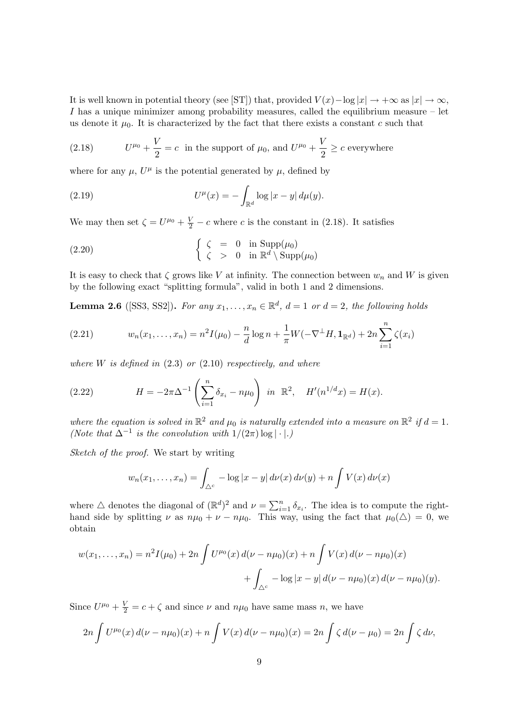It is well known in potential theory (see [ST]) that, provided  $V(x) - \log |x| \to +\infty$  as  $|x| \to \infty$ , I has a unique minimizer among probability measures, called the equilibrium measure  $-$  let us denote it  $\mu_0$ . It is characterized by the fact that there exists a constant c such that

(2.18) 
$$
U^{\mu_0} + \frac{V}{2} = c
$$
 in the support of  $\mu_0$ , and  $U^{\mu_0} + \frac{V}{2} \ge c$  everywhere

where for any  $\mu$ ,  $U^{\mu}$  is the potential generated by  $\mu$ , defined by

(2.19) 
$$
U^{\mu}(x) = -\int_{\mathbb{R}^d} \log |x - y| \, d\mu(y).
$$

We may then set  $\zeta = U^{\mu_0} + \frac{V}{2} - c$  where c is the constant in (2.18). It satisfies

(2.20) 
$$
\begin{cases} \zeta = 0 & \text{in } \mathrm{Supp}(\mu_0) \\ \zeta > 0 & \text{in } \mathbb{R}^d \setminus \mathrm{Supp}(\mu_0) \end{cases}
$$

It is easy to check that  $\zeta$  grows like V at infinity. The connection between  $w_n$  and W is given by the following exact "splitting formula", valid in both 1 and 2 dimensions.

**Lemma 2.6** ([SS3, SS2]). For any  $x_1, \ldots, x_n \in \mathbb{R}^d$ ,  $d = 1$  or  $d = 2$ , the following holds

(2.21) 
$$
w_n(x_1,...,x_n) = n^2 I(\mu_0) - \frac{n}{d} \log n + \frac{1}{\pi} W(-\nabla^{\perp} H, \mathbf{1}_{\mathbb{R}^d}) + 2n \sum_{i=1}^n \zeta(x_i)
$$

where  $W$  is defined in  $(2.3)$  or  $(2.10)$  respectively, and where

(2.22) 
$$
H = -2\pi \Delta^{-1} \left( \sum_{i=1}^{n} \delta_{x_i} - n\mu_0 \right) \text{ in } \mathbb{R}^2, \quad H'(n^{1/d}x) = H(x).
$$

where the equation is solved in  $\mathbb{R}^2$  and  $\mu_0$  is naturally extended into a measure on  $\mathbb{R}^2$  if  $d = 1$ . (Note that  $\Delta^{-1}$  is the convolution with  $1/(2\pi) \log |\cdot|$ .)

Sketch of the proof. We start by writing

$$
w_n(x_1,\ldots,x_n) = \int_{\triangle^c} -\log|x-y| \, d\nu(x) \, d\nu(y) + n \int V(x) \, d\nu(x)
$$

where  $\triangle$  denotes the diagonal of  $(\mathbb{R}^d)^2$  and  $\nu = \sum_{i=1}^n \delta_{x_i}$ . The idea is to compute the righthand side by splitting  $\nu$  as  $n\mu_0 + \nu - n\mu_0$ . This way, using the fact that  $\mu_0(\Delta) = 0$ , we obtain

$$
w(x_1,...,x_n) = n^2 I(\mu_0) + 2n \int U^{\mu_0}(x) d(\nu - n\mu_0)(x) + n \int V(x) d(\nu - n\mu_0)(x) + \int_{\Delta^c} -\log|x - y| d(\nu - n\mu_0)(x) d(\nu - n\mu_0)(y).
$$

Since  $U^{\mu_0} + \frac{V}{2} = c + \zeta$  and since  $\nu$  and  $n\mu_0$  have same mass n, we have

$$
2n \int U^{\mu_0}(x) d(\nu - n\mu_0)(x) + n \int V(x) d(\nu - n\mu_0)(x) = 2n \int \zeta d(\nu - \mu_0) = 2n \int \zeta d\nu,
$$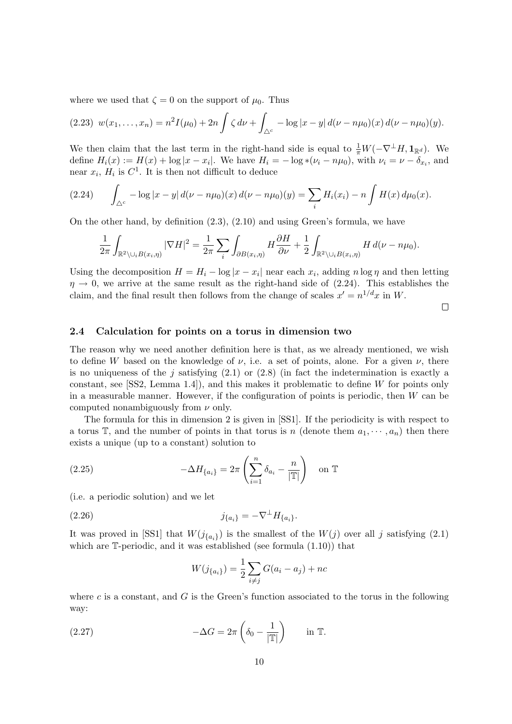where we used that  $\zeta = 0$  on the support of  $\mu_0$ . Thus

$$
(2.23) \ w(x_1,\ldots,x_n)=n^2I(\mu_0)+2n\int \zeta\,d\nu+\int_{\Delta^c}-\log|x-y|\,d(\nu-n\mu_0)(x)\,d(\nu-n\mu_0)(y).
$$

We then claim that the last term in the right-hand side is equal to  $\frac{1}{\pi}W(-\nabla^{\perp}H, \mathbf{1}_{\mathbb{R}^d})$ . We define  $H_i(x) := H(x) + \log |x - x_i|$ . We have  $H_i = -\log \ast (\nu_i - n\mu_0)$ , with  $\nu_i = \nu - \delta_{x_i}$ , and near  $x_i$ ,  $H_i$  is  $C^1$ . It is then not difficult to deduce

$$
(2.24) \qquad \int_{\Delta^c} -\log|x-y| \, d(\nu - n\mu_0)(x) \, d(\nu - n\mu_0)(y) = \sum_i H_i(x_i) - n \int H(x) \, d\mu_0(x).
$$

On the other hand, by definition (2.3), (2.10) and using Green's formula, we have

$$
\frac{1}{2\pi} \int_{\mathbb{R}^2 \setminus \cup_i B(x_i, \eta)} |\nabla H|^2 = \frac{1}{2\pi} \sum_i \int_{\partial B(x_i, \eta)} H \frac{\partial H}{\partial \nu} + \frac{1}{2} \int_{\mathbb{R}^2 \setminus \cup_i B(x_i, \eta)} H d(\nu - n\mu_0).
$$

Using the decomposition  $H = H_i - \log|x - x_i|$  near each  $x_i$ , adding  $n \log \eta$  and then letting  $\eta \rightarrow 0$ , we arrive at the same result as the right-hand side of (2.24). This establishes the claim, and the final result then follows from the change of scales  $x' = n^{1/d}x$  in W.

 $\Box$ 

#### 2.4 Calculation for points on a torus in dimension two

The reason why we need another definition here is that, as we already mentioned, we wish to define W based on the knowledge of  $\nu$ , i.e. a set of points, alone. For a given  $\nu$ , there is no uniqueness of the j satisfying  $(2.1)$  or  $(2.8)$  (in fact the indetermination is exactly a constant, see [SS2, Lemma 1.4]), and this makes it problematic to define W for points only in a measurable manner. However, if the configuration of points is periodic, then W can be computed nonambiguously from  $\nu$  only.

The formula for this in dimension 2 is given in [SS1]. If the periodicity is with respect to a torus  $\mathbb{T}$ , and the number of points in that torus is n (denote them  $a_1, \dots, a_n$ ) then there exists a unique (up to a constant) solution to

(2.25) 
$$
-\Delta H_{\{a_i\}} = 2\pi \left(\sum_{i=1}^n \delta_{a_i} - \frac{n}{|\mathbb{T}|}\right) \text{ on } \mathbb{T}
$$

(i.e. a periodic solution) and we let

(2.26) 
$$
j_{\{a_i\}} = -\nabla^{\perp} H_{\{a_i\}}.
$$

It was proved in [SS1] that  $W(j_{\{a_i\}})$  is the smallest of the  $W(j)$  over all j satisfying (2.1) which are  $\mathbb{T}$ -periodic, and it was established (see formula (1.10)) that

$$
W(j_{\{a_i\}}) = \frac{1}{2} \sum_{i \neq j} G(a_i - a_j) + nc
$$

where  $c$  is a constant, and  $G$  is the Green's function associated to the torus in the following way:

(2.27) 
$$
-\Delta G = 2\pi \left( \delta_0 - \frac{1}{|\mathbb{T}|} \right) \quad \text{in } \mathbb{T}.
$$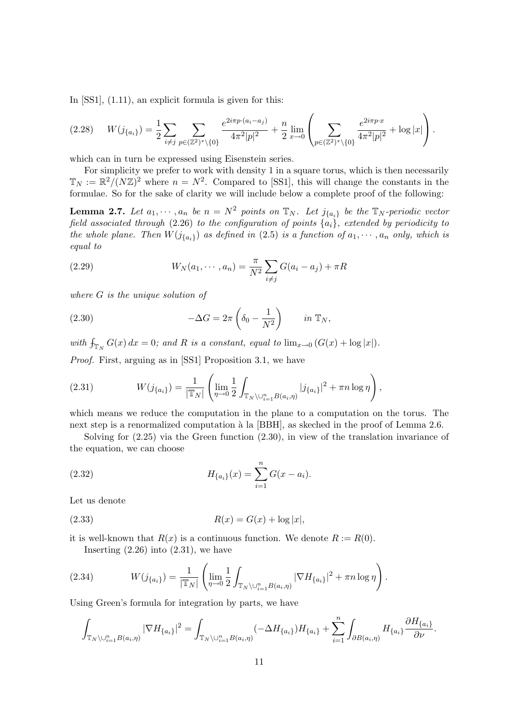In [SS1],  $(1.11)$ , an explicit formula is given for this:

$$
(2.28) \t W(j_{\{a_i\}}) = \frac{1}{2} \sum_{i \neq j} \sum_{p \in (\mathbb{Z}^2)^* \setminus \{0\}} \frac{e^{2i\pi p \cdot (a_i - a_j)}}{4\pi^2 |p|^2} + \frac{n}{2} \lim_{x \to 0} \left( \sum_{p \in (\mathbb{Z}^2)^* \setminus \{0\}} \frac{e^{2i\pi p \cdot x}}{4\pi^2 |p|^2} + \log |x| \right).
$$

which can in turn be expressed using Eisenstein series.

For simplicity we prefer to work with density 1 in a square torus, which is then necessarily  $\mathbb{T}_N := \mathbb{R}^2 / (N \mathbb{Z})^2$  where  $n = N^2$ . Compared to [SS1], this will change the constants in the formulae. So for the sake of clarity we will include below a complete proof of the following:

**Lemma 2.7.** Let  $a_1, \dots, a_n$  be  $n = N^2$  points on  $\mathbb{T}_N$ . Let  $j_{\{a_i\}}$  be the  $\mathbb{T}_N$ -periodic vector field associated through (2.26) to the configuration of points  $\{a_i\}$ , extended by periodicity to the whole plane. Then  $W(j_{\{a_i\}})$  as defined in (2.5) is a function of  $a_1, \dots, a_n$  only, which is equal to

(2.29) 
$$
W_N(a_1, \dots, a_n) = \frac{\pi}{N^2} \sum_{i \neq j} G(a_i - a_j) + \pi R
$$

where G is the unique solution of

(2.30) 
$$
-\Delta G = 2\pi \left(\delta_0 - \frac{1}{N^2}\right) \qquad in \ \mathbb{T}_N,
$$

with  $f_{\mathbb{T}_N} G(x) dx = 0$ ; and R is a constant, equal to  $\lim_{x\to 0} (G(x) + \log |x|)$ .

Proof. First, arguing as in [SS1] Proposition 3.1, we have

(2.31) 
$$
W(j_{\{a_i\}}) = \frac{1}{|\mathbb{T}_N|} \left( \lim_{\eta \to 0} \frac{1}{2} \int_{\mathbb{T}_N \setminus \bigcup_{i=1}^n B(a_i, \eta)} |j_{\{a_i\}}|^2 + \pi n \log \eta \right),
$$

which means we reduce the computation in the plane to a computation on the torus. The next step is a renormalized computation à la [BBH], as skeched in the proof of Lemma 2.6.

Solving for (2.25) via the Green function (2.30), in view of the translation invariance of the equation, we can choose

(2.32) 
$$
H_{\{a_i\}}(x) = \sum_{i=1}^n G(x - a_i).
$$

Let us denote

(2.33) 
$$
R(x) = G(x) + \log |x|,
$$

it is well-known that  $R(x)$  is a continuous function. We denote  $R := R(0)$ .

Inserting  $(2.26)$  into  $(2.31)$ , we have

(2.34) 
$$
W(j_{\{a_i\}}) = \frac{1}{|\mathbb{T}_N|} \left( \lim_{\eta \to 0} \frac{1}{2} \int_{\mathbb{T}_N \setminus \bigcup_{i=1}^n B(a_i, \eta)} |\nabla H_{\{a_i\}}|^2 + \pi n \log \eta \right).
$$

Using Green's formula for integration by parts, we have

$$
\int_{\mathbb{T}_N \setminus \cup_{i=1}^n B(a_i,\eta)} |\nabla H_{\{a_i\}}|^2 = \int_{\mathbb{T}_N \setminus \cup_{i=1}^n B(a_i,\eta)} (-\Delta H_{\{a_i\}}) H_{\{a_i\}} + \sum_{i=1}^n \int_{\partial B(a_i,\eta)} H_{\{a_i\}} \frac{\partial H_{\{a_i\}}}{\partial \nu}.
$$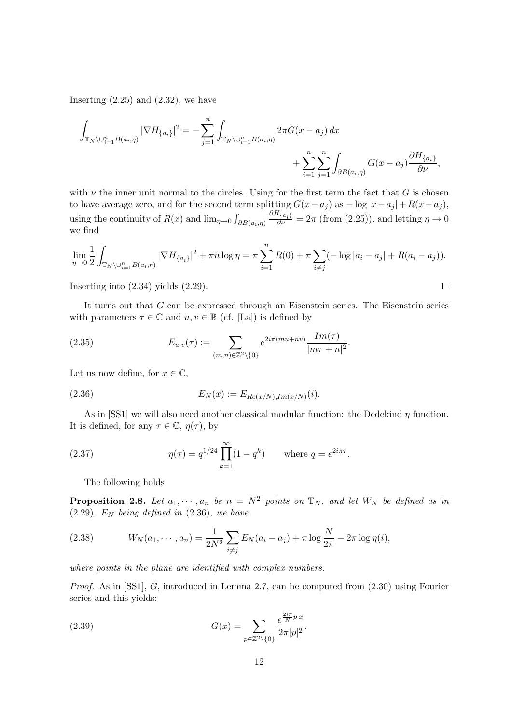Inserting  $(2.25)$  and  $(2.32)$ , we have

$$
\int_{\mathbb{T}_N \setminus \cup_{i=1}^n B(a_i, \eta)} |\nabla H_{\{a_i\}}|^2 = - \sum_{j=1}^n \int_{\mathbb{T}_N \setminus \cup_{i=1}^n B(a_i, \eta)} 2\pi G(x - a_j) dx + \sum_{i=1}^n \sum_{j=1}^n \int_{\partial B(a_i, \eta)} G(x - a_j) \frac{\partial H_{\{a_i\}}}{\partial \nu},
$$

with  $\nu$  the inner unit normal to the circles. Using for the first term the fact that G is chosen to have average zero, and for the second term splitting  $G(x-a_j)$  as  $-\log |x-a_j| + R(x-a_j)$ , using the continuity of  $R(x)$  and  $\lim_{\eta \to 0} \int_{\partial B(a_i, \eta)}$  $\frac{\partial H_{\{a_i\}}}{\partial \nu} = 2\pi$  (from (2.25)), and letting  $\eta \to 0$ we find

$$
\lim_{\eta \to 0} \frac{1}{2} \int_{\mathbb{T}_N \setminus \bigcup_{i=1}^n B(a_i, \eta)} |\nabla H_{\{a_i\}}|^2 + \pi n \log \eta = \pi \sum_{i=1}^n R(0) + \pi \sum_{i \neq j} (-\log |a_i - a_j| + R(a_i - a_j)).
$$

 $\Box$ 

Inserting into (2.34) yields (2.29).

It turns out that G can be expressed through an Eisenstein series. The Eisenstein series with parameters  $\tau \in \mathbb{C}$  and  $u, v \in \mathbb{R}$  (cf. [La]) is defined by

(2.35) 
$$
E_{u,v}(\tau) := \sum_{(m,n)\in\mathbb{Z}^2\backslash\{0\}} e^{2i\pi(mu+nv)} \frac{Im(\tau)}{|m\tau + n|^2}.
$$

Let us now define, for  $x \in \mathbb{C}$ ,

(2.36) 
$$
E_N(x) := E_{Re(x/N),Im(x/N)}(i).
$$

As in [SS1] we will also need another classical modular function: the Dedekind  $\eta$  function. It is defined, for any  $\tau \in \mathbb{C}$ ,  $\eta(\tau)$ , by

(2.37) 
$$
\eta(\tau) = q^{1/24} \prod_{k=1}^{\infty} (1 - q^k) \quad \text{where } q = e^{2i\pi\tau}.
$$

The following holds

**Proposition 2.8.** Let  $a_1, \dots, a_n$  be  $n = N^2$  points on  $\mathbb{T}_N$ , and let  $W_N$  be defined as in  $(2.29)$ . E<sub>N</sub> being defined in  $(2.36)$ , we have

(2.38) 
$$
W_N(a_1, \dots, a_n) = \frac{1}{2N^2} \sum_{i \neq j} E_N(a_i - a_j) + \pi \log \frac{N}{2\pi} - 2\pi \log \eta(i),
$$

where points in the plane are identified with complex numbers.

Proof. As in [SS1], G, introduced in Lemma 2.7, can be computed from  $(2.30)$  using Fourier series and this yields:

(2.39) 
$$
G(x) = \sum_{p \in \mathbb{Z}^2 \setminus \{0\}} \frac{e^{\frac{2i\pi}{N}p \cdot x}}{2\pi |p|^2}.
$$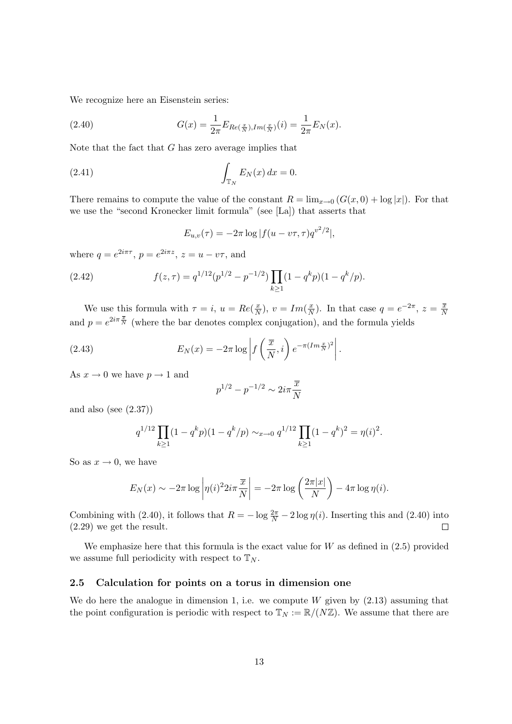We recognize here an Eisenstein series:

(2.40) 
$$
G(x) = \frac{1}{2\pi} E_{Re(\frac{x}{N}), Im(\frac{x}{N})}(i) = \frac{1}{2\pi} E_N(x).
$$

Note that the fact that  $G$  has zero average implies that

$$
\int_{\mathbb{T}_N} E_N(x) dx = 0.
$$

There remains to compute the value of the constant  $R = \lim_{x\to 0} (G(x, 0) + \log |x|)$ . For that we use the "second Kronecker limit formula" (see [La]) that asserts that

$$
E_{u,v}(\tau) = -2\pi \log |f(u - v\tau, \tau)q^{v^2/2}|,
$$

where  $q = e^{2i\pi\tau}$ ,  $p = e^{2i\pi z}$ ,  $z = u - v\tau$ , and

(2.42) 
$$
f(z,\tau) = q^{1/12} (p^{1/2} - p^{-1/2}) \prod_{k \ge 1} (1 - q^k p)(1 - q^k/p).
$$

We use this formula with  $\tau = i$ ,  $u = Re(\frac{x}{N})$  $\frac{x}{N}$ ),  $v = Im(\frac{x}{N})$  $\frac{x}{N}$ ). In that case  $q = e^{-2\pi}, z = \frac{\overline{x}}{N}$ N and  $p = e^{2i\pi \frac{\overline{x}}{N}}$  (where the bar denotes complex conjugation), and the formula yields

.

(2.43) 
$$
E_N(x) = -2\pi \log \left| f\left(\frac{\overline{x}}{N}, i\right) e^{-\pi (Im \frac{x}{N})^2} \right|
$$

As  $x \to 0$  we have  $p \to 1$  and

$$
p^{1/2} - p^{-1/2} \sim 2i\pi \frac{\overline{x}}{N}
$$

and also (see  $(2.37)$ )

$$
q^{1/12} \prod_{k \ge 1} (1 - q^k p)(1 - q^k/p) \sim_{x \to 0} q^{1/12} \prod_{k \ge 1} (1 - q^k)^2 = \eta(i)^2.
$$

So as  $x \to 0$ , we have

$$
E_N(x) \sim -2\pi \log \left| \eta(i)^2 2i\pi \frac{\overline{x}}{N} \right| = -2\pi \log \left( \frac{2\pi |x|}{N} \right) - 4\pi \log \eta(i).
$$

Combining with (2.40), it follows that  $R = -\log \frac{2\pi}{N} - 2\log \eta(i)$ . Inserting this and (2.40) into (2.29) we get the result.

We emphasize here that this formula is the exact value for  $W$  as defined in  $(2.5)$  provided we assume full periodicity with respect to  $\mathbb{T}_N$ .

#### 2.5 Calculation for points on a torus in dimension one

We do here the analogue in dimension 1, i.e. we compute  $W$  given by  $(2.13)$  assuming that the point configuration is periodic with respect to  $\mathbb{T}_N := \mathbb{R}/(N\mathbb{Z})$ . We assume that there are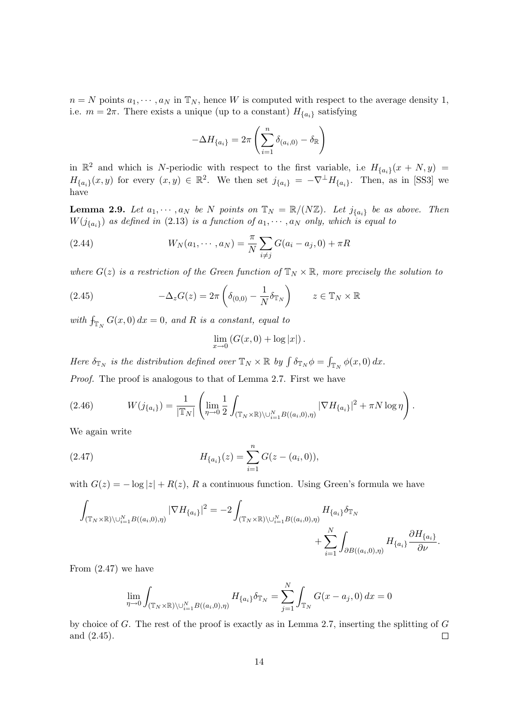$n = N$  points  $a_1, \dots, a_N$  in  $\mathbb{T}_N$ , hence W is computed with respect to the average density 1, i.e.  $m = 2\pi$ . There exists a unique (up to a constant)  $H_{\{a_i\}}$  satisfying

$$
-\Delta H_{\{a_i\}} = 2\pi \left(\sum_{i=1}^n \delta_{(a_i,0)} - \delta_{\mathbb{R}}\right)
$$

in  $\mathbb{R}^2$  and which is N-periodic with respect to the first variable, i.e  $H_{\{a_i\}}(x+N,y)$  =  $H_{\{a_i\}}(x,y)$  for every  $(x,y) \in \mathbb{R}^2$ . We then set  $j_{\{a_i\}} = -\nabla^{\perp} H_{\{a_i\}}$ . Then, as in [SS3] we have

**Lemma 2.9.** Let  $a_1, \dots, a_N$  be N points on  $\mathbb{T}_N = \mathbb{R}/(N\mathbb{Z})$ . Let  $j_{\{a_i\}}$  be as above. Then  $W(j_{\{a_i\}})$  as defined in (2.13) is a function of  $a_1, \cdots, a_N$  only, which is equal to

(2.44) 
$$
W_N(a_1, \cdots, a_N) = \frac{\pi}{N} \sum_{i \neq j} G(a_i - a_j, 0) + \pi R
$$

where  $G(z)$  is a restriction of the Green function of  $\mathbb{T}_N \times \mathbb{R}$ , more precisely the solution to

(2.45) 
$$
-\Delta_z G(z) = 2\pi \left( \delta_{(0,0)} - \frac{1}{N} \delta_{\mathbb{T}_N} \right) \qquad z \in \mathbb{T}_N \times \mathbb{R}
$$

with  $f_{\mathbb{T}_N} G(x,0) dx = 0$ , and R is a constant, equal to

$$
\lim_{x \to 0} \left( G(x,0) + \log |x| \right).
$$

Here  $\delta_{\mathbb{T}_N}$  is the distribution defined over  $\mathbb{T}_N \times \mathbb{R}$  by  $\int \delta_{\mathbb{T}_N} \phi = \int_{\mathbb{T}_N} \phi(x,0) dx$ . Proof. The proof is analogous to that of Lemma 2.7. First we have

(2.46) 
$$
W(j_{\{a_i\}}) = \frac{1}{|\mathbb{T}_N|} \left( \lim_{\eta \to 0} \frac{1}{2} \int_{(\mathbb{T}_N \times \mathbb{R}) \setminus \cup_{i=1}^N B((a_i, 0), \eta)} |\nabla H_{\{a_i\}}|^2 + \pi N \log \eta \right).
$$

We again write

(2.47) 
$$
H_{\{a_i\}}(z) = \sum_{i=1}^n G(z - (a_i, 0)),
$$

with  $G(z) = -\log|z| + R(z)$ , R a continuous function. Using Green's formula we have

$$
\int_{(\mathbb{T}_N\times\mathbb{R})\backslash\cup_{i=1}^N B((a_i,0),\eta)} |\nabla H_{\{a_i\}}|^2 = -2 \int_{(\mathbb{T}_N\times\mathbb{R})\backslash\cup_{i=1}^N B((a_i,0),\eta)} H_{\{a_i\}} \delta_{\mathbb{T}_N} + \sum_{i=1}^N \int_{\partial B((a_i,0),\eta)} H_{\{a_i\}} \frac{\partial H_{\{a_i\}}}{\partial \nu}.
$$

From (2.47) we have

$$
\lim_{\eta \to 0} \int_{(\mathbb{T}_N \times \mathbb{R}) \setminus \cup_{i=1}^N B((a_i, 0), \eta)} H_{\{a_i\}} \delta_{\mathbb{T}_N} = \sum_{j=1}^N \int_{\mathbb{T}_N} G(x - a_j, 0) dx = 0
$$

by choice of  $G$ . The rest of the proof is exactly as in Lemma 2.7, inserting the splitting of  $G$ and (2.45).  $\Box$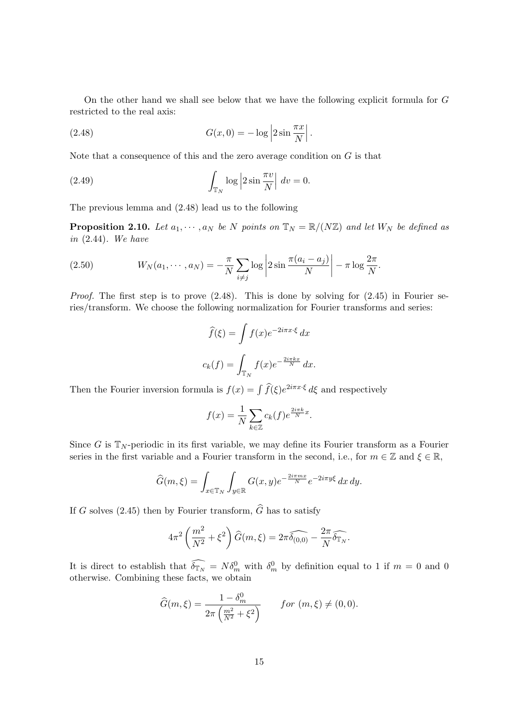On the other hand we shall see below that we have the following explicit formula for G restricted to the real axis:

(2.48) 
$$
G(x,0) = -\log \left|2\sin \frac{\pi x}{N}\right|.
$$

Note that a consequence of this and the zero average condition on  $G$  is that

(2.49) 
$$
\int_{\mathbb{T}_N} \log \left| 2 \sin \frac{\pi v}{N} \right| dv = 0.
$$

The previous lemma and (2.48) lead us to the following

**Proposition 2.10.** Let  $a_1, \dots, a_N$  be N points on  $\mathbb{T}_N = \mathbb{R}/(N\mathbb{Z})$  and let  $W_N$  be defined as in  $(2.44)$ . We have

(2.50) 
$$
W_N(a_1,\dots,a_N)=-\frac{\pi}{N}\sum_{i\neq j}\log\left|2\sin\frac{\pi(a_i-a_j)}{N}\right|-\pi\log\frac{2\pi}{N}.
$$

*Proof.* The first step is to prove  $(2.48)$ . This is done by solving for  $(2.45)$  in Fourier series/transform. We choose the following normalization for Fourier transforms and series:

$$
\widehat{f}(\xi) = \int f(x)e^{-2i\pi x \cdot \xi} dx
$$

$$
c_k(f) = \int_{\mathbb{T}_N} f(x)e^{-\frac{2i\pi kx}{N}} dx.
$$

Then the Fourier inversion formula is  $f(x) = \int \widehat{f}(\xi)e^{2i\pi x \cdot \xi} d\xi$  and respectively

$$
f(x) = \frac{1}{N} \sum_{k \in \mathbb{Z}} c_k(f) e^{\frac{2i\pi k}{N}x}.
$$

Since G is  $\mathbb{T}_N$ -periodic in its first variable, we may define its Fourier transform as a Fourier series in the first variable and a Fourier transform in the second, i.e., for  $m \in \mathbb{Z}$  and  $\xi \in \mathbb{R}$ ,

$$
\widehat{G}(m,\xi) = \int_{x \in \mathbb{T}_N} \int_{y \in \mathbb{R}} G(x,y) e^{-\frac{2i\pi mx}{N}} e^{-2i\pi y \xi} dx dy.
$$

If G solves (2.45) then by Fourier transform,  $\widehat{G}$  has to satisfy

$$
4\pi^2 \left(\frac{m^2}{N^2} + \xi^2\right) \widehat{G}(m,\xi) = 2\pi \widehat{\delta_{(0,0)}} - \frac{2\pi}{N} \widehat{\delta_{\mathbb{T}_N}}.
$$

It is direct to establish that  $\widehat{\delta_{\mathbb{T}_N}} = N \delta_m^0$  with  $\delta_m^0$  by definition equal to 1 if  $m = 0$  and 0 otherwise. Combining these facts, we obtain

$$
\widehat{G}(m,\xi) = \frac{1 - \delta_m^0}{2\pi \left(\frac{m^2}{N^2} + \xi^2\right)} \qquad \text{for } (m,\xi) \neq (0,0).
$$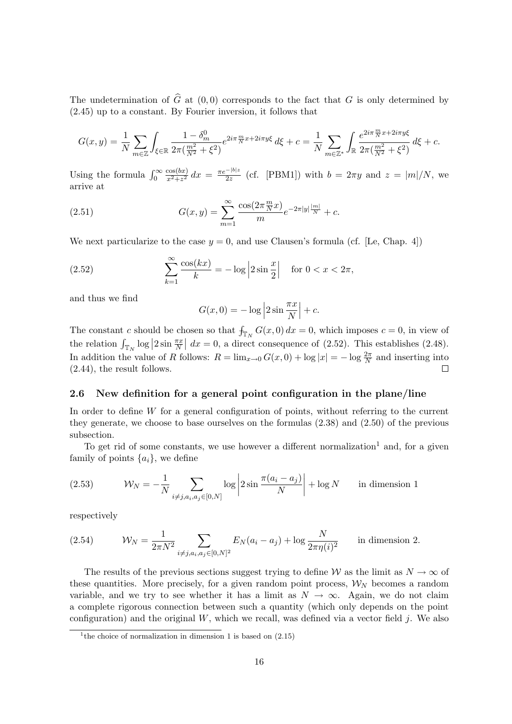The undetermination of  $\hat{G}$  at (0,0) corresponds to the fact that G is only determined by (2.45) up to a constant. By Fourier inversion, it follows that

$$
G(x,y) = \frac{1}{N} \sum_{m \in \mathbb{Z}} \int_{\xi \in \mathbb{R}} \frac{1 - \delta_m^0}{2\pi \left(\frac{m^2}{N^2} + \xi^2\right)} e^{2i\pi \frac{m}{N}x + 2i\pi y\xi} d\xi + c = \frac{1}{N} \sum_{m \in \mathbb{Z}^*} \int_{\mathbb{R}} \frac{e^{2i\pi \frac{m}{N}x + 2i\pi y\xi}}{2\pi \left(\frac{m^2}{N^2} + \xi^2\right)} d\xi + c.
$$

Using the formula  $\int_0^\infty$  $\cos(bx)$  $\frac{\cos(bx)}{x^2+z^2} dx = \frac{\pi e^{-|b|z}}{2z}$  $rac{z}{2z}$  (cf. [PBM1]) with  $b = 2\pi y$  and  $z = |m|/N$ , we arrive at

(2.51) 
$$
G(x,y) = \sum_{m=1}^{\infty} \frac{\cos(2\pi \frac{m}{N}x)}{m} e^{-2\pi |y|\frac{|m|}{N}} + c.
$$

We next particularize to the case  $y = 0$ , and use Clausen's formula (cf. [Le, Chap. 4])

(2.52) 
$$
\sum_{k=1}^{\infty} \frac{\cos(kx)}{k} = -\log |2 \sin \frac{x}{2}| \text{ for } 0 < x < 2\pi,
$$

and thus we find

$$
G(x, 0) = -\log |2 \sin \frac{\pi x}{N}| + c.
$$

The constant c should be chosen so that  $f_{\mathbb{T}_N} G(x,0) dx = 0$ , which imposes  $c = 0$ , in view of the relation  $\int_{\mathbb{T}_N} \log |2 \sin \frac{\pi x}{N}| dx = 0$ , a direct consequence of (2.52). This establishes (2.48). In addition the value of R follows:  $R = \lim_{x\to 0} G(x, 0) + \log |x| = -\log \frac{2\pi}{N}$  and inserting into (2.44), the result follows.  $\Box$ 

#### 2.6 New definition for a general point configuration in the plane/line

In order to define  $W$  for a general configuration of points, without referring to the current they generate, we choose to base ourselves on the formulas (2.38) and (2.50) of the previous subsection.

To get rid of some constants, we use however a different normalization<sup>1</sup> and, for a given family of points  $\{a_i\}$ , we define

(2.53) 
$$
\mathcal{W}_N = -\frac{1}{N} \sum_{i \neq j, a_i, a_j \in [0, N]} \log \left| 2 \sin \frac{\pi (a_i - a_j)}{N} \right| + \log N \quad \text{in dimension 1}
$$

respectively

(2.54) 
$$
W_N = \frac{1}{2\pi N^2} \sum_{i \neq j, a_i, a_j \in [0,N]^2} E_N(a_i - a_j) + \log \frac{N}{2\pi \eta(i)^2} \quad \text{in dimension 2.}
$$

The results of the previous sections suggest trying to define W as the limit as  $N \to \infty$  of these quantities. More precisely, for a given random point process,  $\mathcal{W}_N$  becomes a random variable, and we try to see whether it has a limit as  $N \to \infty$ . Again, we do not claim a complete rigorous connection between such a quantity (which only depends on the point configuration) and the original  $W$ , which we recall, was defined via a vector field j. We also

<sup>&</sup>lt;sup>1</sup>the choice of normalization in dimension 1 is based on  $(2.15)$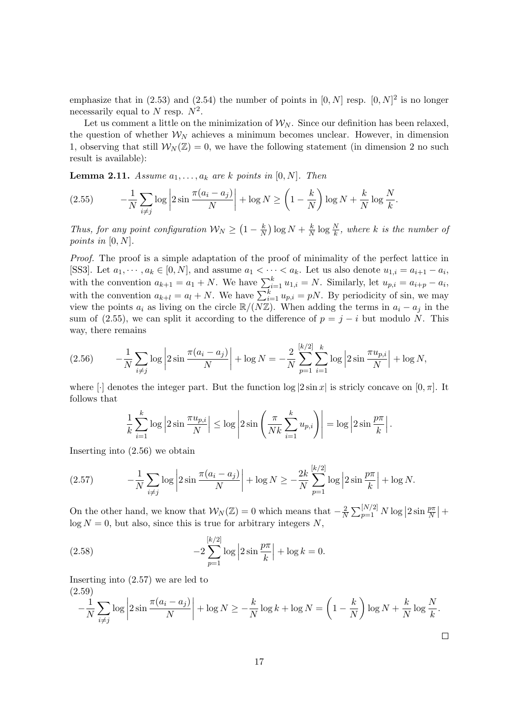emphasize that in (2.53) and (2.54) the number of points in  $[0, N]$  resp.  $[0, N]^2$  is no longer necessarily equal to N resp.  $N^2$ .

Let us comment a little on the minimization of  $W_N$ . Since our definition has been relaxed, the question of whether  $\mathcal{W}_N$  achieves a minimum becomes unclear. However, in dimension 1, observing that still  $\mathcal{W}_{N}(\mathbb{Z})=0$ , we have the following statement (in dimension 2 no such result is available):

**Lemma 2.11.** Assume  $a_1, \ldots, a_k$  are k points in [0, N]. Then

$$
(2.55) \qquad -\frac{1}{N} \sum_{i \neq j} \log \left| 2 \sin \frac{\pi (a_i - a_j)}{N} \right| + \log N \ge \left( 1 - \frac{k}{N} \right) \log N + \frac{k}{N} \log \frac{N}{k}.
$$

Thus, for any point configuration  $\mathcal{W}_N \geq \left(1 - \frac{k}{N}\right)$  $\frac{k}{N}$ )  $\log N + \frac{k}{N}$  $\frac{k}{N} \log \frac{N}{k}$ , where k is the number of points in  $[0, N]$ .

Proof. The proof is a simple adaptation of the proof of minimality of the perfect lattice in [SS3]. Let  $a_1, \dots, a_k \in [0, N]$ , and assume  $a_1 < \dots < a_k$ . Let us also denote  $u_{1,i} = a_{i+1} - a_i$ , with the convention  $a_{k+1} = a_1 + N$ . We have  $\sum_{i=1}^{k} u_{1,i} = N$ . Similarly, let  $u_{p,i} = a_{i+p} - a_i$ , with the convention  $a_{k+l} = a_l + N$ . We have  $\sum_{i=1}^{k} u_{p,i} = pN$ . By periodicity of sin, we may view the points  $a_i$  as living on the circle  $\mathbb{R}/(N\mathbb{Z})$ . When adding the terms in  $a_i - a_j$  in the sum of (2.55), we can split it according to the difference of  $p = j - i$  but modulo N. This way, there remains

$$
(2.56) \qquad -\frac{1}{N} \sum_{i \neq j} \log \left| 2 \sin \frac{\pi (a_i - a_j)}{N} \right| + \log N = -\frac{2}{N} \sum_{p=1}^{[k/2]} \sum_{i=1}^{k} \log \left| 2 \sin \frac{\pi u_{p,i}}{N} \right| + \log N,
$$

where  $\lceil \cdot \rceil$  denotes the integer part. But the function  $\log |2 \sin x|$  is stricly concave on  $[0, \pi]$ . It follows that

$$
\frac{1}{k}\sum_{i=1}^k \log \left|2\sin \frac{\pi u_{p,i}}{N}\right| \leq \log \left|2\sin \left(\frac{\pi}{Nk}\sum_{i=1}^k u_{p,i}\right)\right| = \log \left|2\sin \frac{p\pi}{k}\right|.
$$

Inserting into (2.56) we obtain

(2.57) 
$$
-\frac{1}{N} \sum_{i \neq j} \log \left| 2 \sin \frac{\pi (a_i - a_j)}{N} \right| + \log N \ge -\frac{2k}{N} \sum_{p=1}^{[k/2]} \log \left| 2 \sin \frac{p\pi}{k} \right| + \log N.
$$

On the other hand, we know that  $W_N(\mathbb{Z})=0$  which means that  $-\frac{2}{N}$  $\frac{2}{N}\sum_{p=1}^{[N/2]} N \log |2 \sin \frac{p\pi}{N}| +$  $\log N = 0$ , but also, since this is true for arbitrary integers N,

(2.58) 
$$
-2\sum_{p=1}^{[k/2]} \log \left|2\sin\frac{p\pi}{k}\right| + \log k = 0.
$$

Inserting into (2.57) we are led to (2.59)

$$
-\frac{1}{N}\sum_{i\neq j}\log\left|2\sin\frac{\pi(a_i-a_j)}{N}\right| + \log N \ge -\frac{k}{N}\log k + \log N = \left(1-\frac{k}{N}\right)\log N + \frac{k}{N}\log\frac{N}{k}.
$$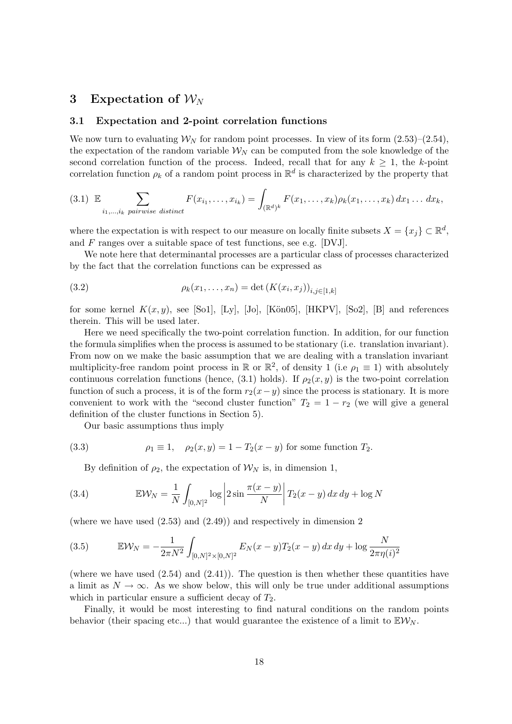## 3 Expectation of  $\mathcal{W}_N$

#### 3.1 Expectation and 2-point correlation functions

We now turn to evaluating  $W_N$  for random point processes. In view of its form  $(2.53)$ – $(2.54)$ , the expectation of the random variable  $W_N$  can be computed from the sole knowledge of the second correlation function of the process. Indeed, recall that for any  $k \geq 1$ , the k-point correlation function  $\rho_k$  of a random point process in  $\mathbb{R}^d$  is characterized by the property that

$$
(3.1) \mathbb{E} \sum_{i_1,\ldots,i_k \text{ pairwise distinct}} F(x_{i_1},\ldots,x_{i_k}) = \int_{(\mathbb{R}^d)^k} F(x_1,\ldots,x_k) \rho_k(x_1,\ldots,x_k) dx_1 \ldots dx_k,
$$

where the expectation is with respect to our measure on locally finite subsets  $X = \{x_j\} \subset \mathbb{R}^d$ , and F ranges over a suitable space of test functions, see e.g. [DVJ].

We note here that determinantal processes are a particular class of processes characterized by the fact that the correlation functions can be expressed as

(3.2) 
$$
\rho_k(x_1,...,x_n) = \det(K(x_i,x_j))_{i,j\in[1,k]}
$$

for some kernel  $K(x, y)$ , see [So1], [Ly], [Jo], [Kön05], [HKPV], [So2], [B] and references therein. This will be used later.

Here we need specifically the two-point correlation function. In addition, for our function the formula simplifies when the process is assumed to be stationary (i.e. translation invariant). From now on we make the basic assumption that we are dealing with a translation invariant multiplicity-free random point process in  $\mathbb{R}$  or  $\mathbb{R}^2$ , of density 1 (i.e  $\rho_1 \equiv 1$ ) with absolutely continuous correlation functions (hence, (3.1) holds). If  $\rho_2(x, y)$  is the two-point correlation function of such a process, it is of the form  $r_2(x-y)$  since the process is stationary. It is more convenient to work with the "second cluster function"  $T_2 = 1 - r_2$  (we will give a general definition of the cluster functions in Section 5).

Our basic assumptions thus imply

(3.3) 
$$
\rho_1 \equiv 1, \quad \rho_2(x, y) = 1 - T_2(x - y) \text{ for some function } T_2.
$$

By definition of  $\rho_2$ , the expectation of  $\mathcal{W}_N$  is, in dimension 1,

(3.4) 
$$
\mathbb{E} \mathcal{W}_N = \frac{1}{N} \int_{[0,N]^2} \log \left| 2 \sin \frac{\pi (x-y)}{N} \right| T_2(x-y) dx dy + \log N
$$

(where we have used (2.53) and (2.49)) and respectively in dimension 2

(3.5) 
$$
\mathbb{E} \mathcal{W}_N = -\frac{1}{2\pi N^2} \int_{[0,N]^2 \times [0,N]^2} E_N(x-y) T_2(x-y) dx dy + \log \frac{N}{2\pi \eta(i)^2}
$$

(where we have used  $(2.54)$  and  $(2.41)$ ). The question is then whether these quantities have a limit as  $N \to \infty$ . As we show below, this will only be true under additional assumptions which in particular ensure a sufficient decay of  $T_2$ .

Finally, it would be most interesting to find natural conditions on the random points behavior (their spacing etc...) that would guarantee the existence of a limit to  $\mathbb{E} \mathcal{W}_{N}$ .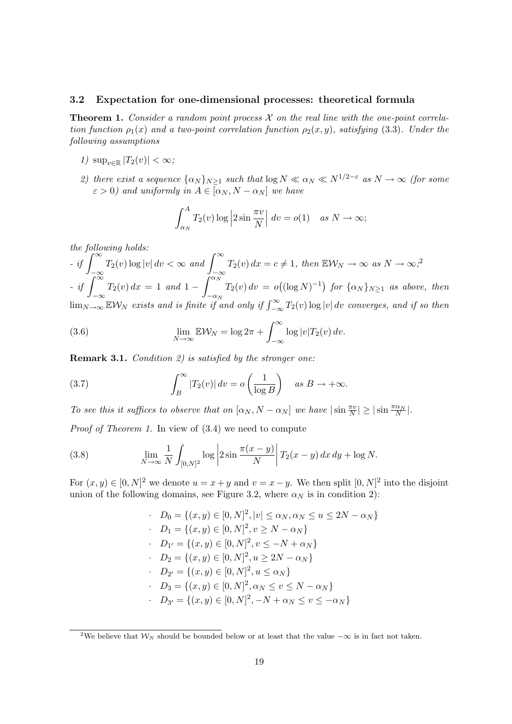#### 3.2 Expectation for one-dimensional processes: theoretical formula

**Theorem 1.** Consider a random point process  $\mathcal X$  on the real line with the one-point correlation function  $\rho_1(x)$  and a two-point correlation function  $\rho_2(x, y)$ , satisfying (3.3). Under the following assumptions

- 1)  $\sup_{v \in \mathbb{R}} |T_2(v)| < \infty$ ;
- 2) there exist a sequence  $\{\alpha_N\}_{N\geq 1}$  such that  $\log N \ll \alpha_N \ll N^{1/2-\epsilon}$  as  $N \to \infty$  (for some  $\varepsilon > 0$ ) and uniformly in  $A \in [\alpha_N, N - \alpha_N]$  we have

$$
\int_{\alpha_N}^{A} T_2(v) \log \left| 2 \sin \frac{\pi v}{N} \right| dv = o(1) \quad \text{as } N \to \infty;
$$

the following holds:

 $-$  if  $\int^{\infty}$ −∞  $T_2(v) \log |v| dv < \infty$  and  $\int_0^\infty$  $-\infty$  $T_2(v) dx = c \neq 1$ , then  $\mathbb{E} \mathcal{W}_N \to \infty$  as  $N \to \infty$ ;<sup>2</sup>  $-$  if  $\int_{0}^{\infty}$ −∞  $T_2(v) dx = 1$  and  $1 - \int^{\alpha_N}$  $-\alpha_N$  $T_2(v) dv = o((\log N)^{-1})$  for  $\{\alpha_N\}_{N \geq 1}$  as above, then  $\lim_{N\to\infty}$  EW<sub>N</sub> exists and is finite if and only if  $\int_{-\infty}^{\infty} T_2(v) \log |v| dv$  converges, and if so then

(3.6) 
$$
\lim_{N \to \infty} \mathbb{E} \mathcal{W}_N = \log 2\pi + \int_{-\infty}^{\infty} \log |v| T_2(v) dv.
$$

Remark 3.1. Condition 2) is satisfied by the stronger one:

(3.7) 
$$
\int_{B}^{\infty} |T_2(v)| dv = o\left(\frac{1}{\log B}\right) \quad as \ B \to +\infty.
$$

To see this it suffices to observe that on  $[\alpha_N, N - \alpha_N]$  we have  $|\sin \frac{\pi v}{N}| \geq |\sin \frac{\pi \alpha_N}{N}|$ .

Proof of Theorem 1. In view of  $(3.4)$  we need to compute

(3.8) 
$$
\lim_{N \to \infty} \frac{1}{N} \int_{[0,N]^2} \log \left| 2 \sin \frac{\pi (x-y)}{N} \right| T_2(x-y) \, dx \, dy + \log N.
$$

For  $(x, y) \in [0, N]^2$  we denote  $u = x + y$  and  $v = x - y$ . We then split  $[0, N]^2$  into the disjoint union of the following domains, see Figure 3.2, where  $\alpha_N$  is in condition 2):

$$
D_0 = \{(x, y) \in [0, N]^2, |v| \le \alpha_N, \alpha_N \le u \le 2N - \alpha_N\}
$$
  
\n
$$
D_1 = \{(x, y) \in [0, N]^2, v \ge N - \alpha_N\}
$$
  
\n
$$
D_{1'} = \{(x, y) \in [0, N]^2, v \le -N + \alpha_N\}
$$
  
\n
$$
D_2 = \{(x, y) \in [0, N]^2, u \ge 2N - \alpha_N\}
$$
  
\n
$$
D_{2'} = \{(x, y) \in [0, N]^2, u \le \alpha_N\}
$$
  
\n
$$
D_3 = \{(x, y) \in [0, N]^2, \alpha_N \le v \le N - \alpha_N\}
$$
  
\n
$$
D_{3'} = \{(x, y) \in [0, N]^2, -N + \alpha_N \le v \le -\alpha_N\}
$$

<sup>&</sup>lt;sup>2</sup>We believe that  $W_N$  should be bounded below or at least that the value  $-\infty$  is in fact not taken.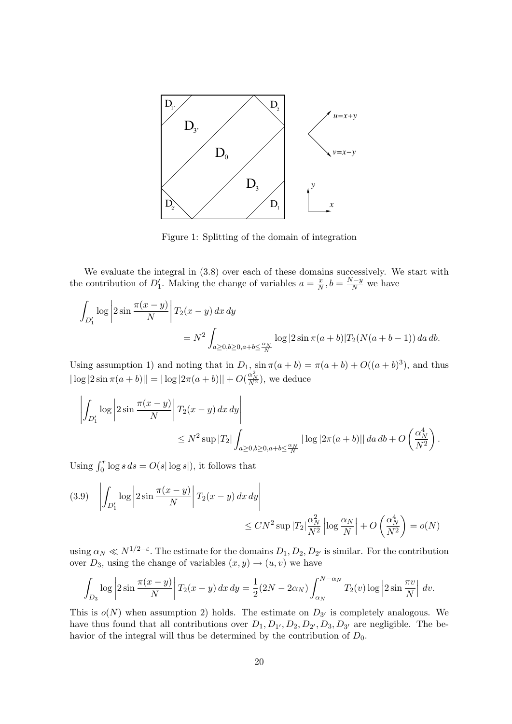

Figure 1: Splitting of the domain of integration

We evaluate the integral in  $(3.8)$  over each of these domains successively. We start with the contribution of  $D'_1$ . Making the change of variables  $a = \frac{x}{N}$  $\frac{x}{N}, b = \frac{N-y}{N}$  we have

$$
\int_{D'_1} \log \left| 2 \sin \frac{\pi (x - y)}{N} \right| T_2(x - y) dx dy
$$
  
=  $N^2 \int_{a \ge 0, b \ge 0, a + b \le \frac{\alpha_N}{N}} \log |2 \sin \pi (a + b)| T_2(N(a + b - 1)) da db.$ 

Using assumption 1) and noting that in  $D_1$ ,  $\sin \pi(a+b) = \pi(a+b) + O((a+b)^3)$ , and thus  $|\log |2 \sin \pi (a+b)|| = |\log |2\pi (a+b)|| + O(\frac{\alpha_N^2}{N^2})$ , we deduce

$$
\left| \int_{D_1'} \log \left| 2 \sin \frac{\pi (x - y)}{N} \right| T_2(x - y) dx dy \right|
$$
  

$$
\leq N^2 \sup |T_2| \int_{a \geq 0, b \geq 0, a + b \leq \frac{\alpha_N}{N}} |\log |2\pi (a + b)| | da db + O\left(\frac{\alpha_N^4}{N^2}\right).
$$

Using  $\int_0^r \log s \, ds = O(s |\log s|)$ , it follows that

$$
(3.9) \quad \left| \int_{D'_1} \log \left| 2 \sin \frac{\pi (x - y)}{N} \right| T_2(x - y) \, dx \, dy \right|
$$
  

$$
\leq C N^2 \sup |T_2| \frac{\alpha_N^2}{N^2} \left| \log \frac{\alpha_N}{N} \right| + O\left(\frac{\alpha_N^4}{N^2}\right) = o(N)
$$

using  $\alpha_N \ll N^{1/2-\epsilon}$ . The estimate for the domains  $D_1, D_2, D_{2'}$  is similar. For the contribution over  $D_3$ , using the change of variables  $(x, y) \rightarrow (u, v)$  we have

$$
\int_{D_3} \log \left| 2\sin \frac{\pi(x-y)}{N} \right| T_2(x-y) \, dx \, dy = \frac{1}{2} (2N - 2\alpha_N) \int_{\alpha_N}^{N-\alpha_N} T_2(v) \log \left| 2\sin \frac{\pi v}{N} \right| \, dv.
$$

This is  $o(N)$  when assumption 2) holds. The estimate on  $D_{3'}$  is completely analogous. We have thus found that all contributions over  $D_1, D_1, D_2, D_2, D_3, D_3$  are negligible. The behavior of the integral will thus be determined by the contribution of  $D_0$ .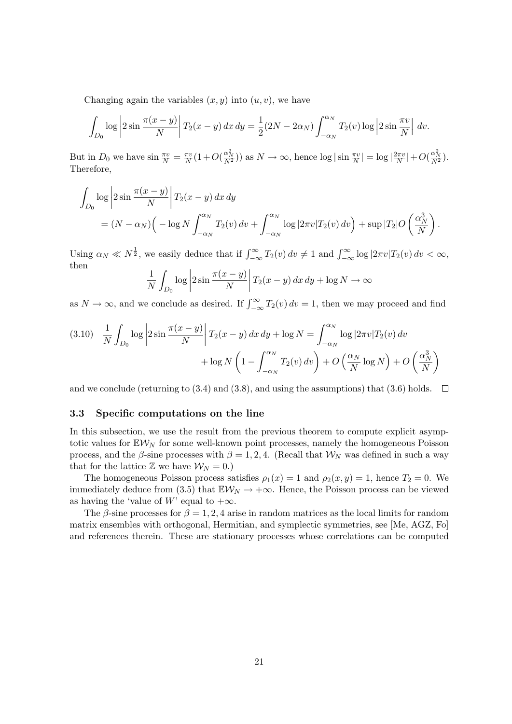Changing again the variables  $(x, y)$  into  $(u, v)$ , we have

$$
\int_{D_0} \log \left| 2\sin \frac{\pi(x-y)}{N} \right| T_2(x-y) dx dy = \frac{1}{2} (2N - 2\alpha_N) \int_{-\alpha_N}^{\alpha_N} T_2(v) \log \left| 2\sin \frac{\pi v}{N} \right| dv.
$$

But in  $D_0$  we have  $\sin \frac{\pi v}{N} = \frac{\pi v}{N}$  $\frac{\pi v}{N}(1+O(\frac{\alpha_N^2}{N^2}))$  as  $N \to \infty$ , hence  $\log|\sin \frac{\pi v}{N}| = \log |\frac{2\pi v}{N}|$  $\frac{2\pi v}{N}$  +  $O(\frac{\alpha_N^2}{N^2})$ . Therefore,

$$
\int_{D_0} \log \left| 2 \sin \frac{\pi (x - y)}{N} \right| T_2(x - y) dx dy
$$
\n
$$
= (N - \alpha_N) \left( -\log N \int_{-\alpha_N}^{\alpha_N} T_2(v) dv + \int_{-\alpha_N}^{\alpha_N} \log |2\pi v| T_2(v) dv \right) + \sup |T_2| O\left(\frac{\alpha_N^3}{N}\right).
$$

Using  $\alpha_N \ll N^{\frac{1}{2}}$ , we easily deduce that if  $\int_{-\infty}^{\infty} T_2(v) dv \neq 1$  and  $\int_{-\infty}^{\infty} \log |2\pi v| T_2(v) dv < \infty$ , then

$$
\frac{1}{N} \int_{D_0} \log \left| 2 \sin \frac{\pi (x - y)}{N} \right| T_2(x - y) \, dx \, dy + \log N \to \infty
$$

as  $N \to \infty$ , and we conclude as desired. If  $\int_{-\infty}^{\infty} T_2(v) dv = 1$ , then we may proceed and find

$$
(3.10) \quad \frac{1}{N} \int_{D_0} \log \left| 2 \sin \frac{\pi (x - y)}{N} \right| T_2(x - y) \, dx \, dy + \log N = \int_{-\alpha_N}^{\alpha_N} \log \left| 2 \pi v \right| T_2(v) \, dv
$$

$$
+ \log N \left( 1 - \int_{-\alpha_N}^{\alpha_N} T_2(v) \, dv \right) + O\left(\frac{\alpha_N}{N} \log N\right) + O\left(\frac{\alpha_N^3}{N}\right)
$$

and we conclude (returning to (3.4) and (3.8), and using the assumptions) that (3.6) holds.  $\Box$ 

#### 3.3 Specific computations on the line

In this subsection, we use the result from the previous theorem to compute explicit asymptotic values for  $\mathbb{E} \mathcal{W}_N$  for some well-known point processes, namely the homogeneous Poisson process, and the  $\beta$ -sine processes with  $\beta = 1, 2, 4$ . (Recall that  $\mathcal{W}_N$  was defined in such a way that for the lattice  $\mathbb{Z}$  we have  $\mathcal{W}_N = 0$ .)

The homogeneous Poisson process satisfies  $\rho_1(x) = 1$  and  $\rho_2(x, y) = 1$ , hence  $T_2 = 0$ . We immediately deduce from (3.5) that  $\mathbb{E} \mathcal{W}_N \to +\infty$ . Hence, the Poisson process can be viewed as having the 'value of W' equal to  $+\infty$ .

The  $\beta$ -sine processes for  $\beta = 1, 2, 4$  arise in random matrices as the local limits for random matrix ensembles with orthogonal, Hermitian, and symplectic symmetries, see [Me, AGZ, Fo] and references therein. These are stationary processes whose correlations can be computed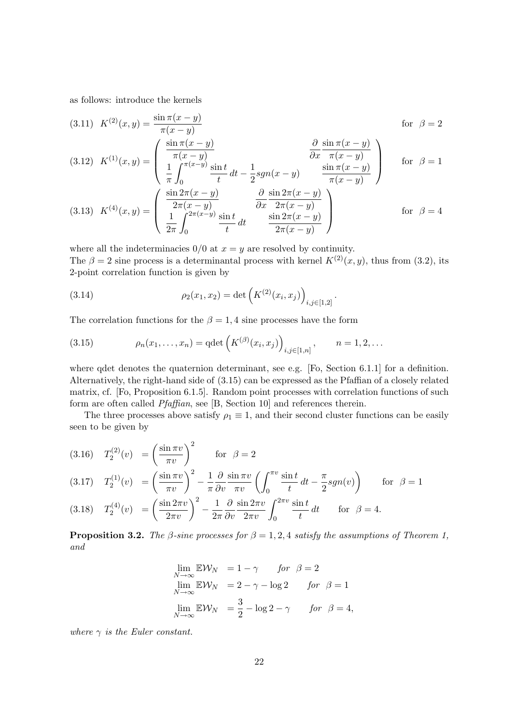as follows: introduce the kernels

(3.11) 
$$
K^{(2)}(x, y) = \frac{\sin \pi (x - y)}{\pi (x - y)}
$$
 for  $\beta = 2$   
\n(3.12)  $K^{(1)}(x, y) = \begin{pmatrix} \frac{\sin \pi (x - y)}{\pi (x - y)} & \frac{\partial \sin \pi (x - y)}{\partial x} \\ \frac{1}{\pi} \int_{0}^{\pi (x - y)} \frac{\sin t}{t} dt - \frac{1}{2} sgn(x - y) & \frac{\sin \pi (x - y)}{\pi (x - y)} \end{pmatrix}$  for  $\beta = 1$   
\n(3.13)  $K^{(4)}(x, y) = \begin{pmatrix} \frac{\sin 2\pi (x - y)}{2\pi (x - y)} & \frac{\partial \sin 2\pi (x - y)}{\partial x} \\ \frac{1}{2\pi} \int_{0}^{2\pi (x - y)} \frac{\sin t}{t} dt & \frac{\sin 2\pi (x - y)}{2\pi (x - y)} \end{pmatrix}$  for  $\beta = 4$ 

where all the indeterminacies  $0/0$  at  $x = y$  are resolved by continuity. The  $\beta = 2$  sine process is a determinantal process with kernel  $K^{(2)}(x, y)$ , thus from (3.2), its 2-point correlation function is given by

(3.14) 
$$
\rho_2(x_1, x_2) = \det \left( K^{(2)}(x_i, x_j) \right)_{i,j \in [1,2]}.
$$

The correlation functions for the  $\beta = 1, 4$  sine processes have the form

(3.15) 
$$
\rho_n(x_1,...,x_n) = \det \left( K^{(\beta)}(x_i,x_j) \right)_{i,j \in [1,n]}, \qquad n = 1,2,...
$$

where qdet denotes the quaternion determinant, see e.g. [Fo, Section 6.1.1] for a definition. Alternatively, the right-hand side of (3.15) can be expressed as the Pfaffian of a closely related matrix, cf. [Fo, Proposition 6.1.5]. Random point processes with correlation functions of such form are often called Pfaffian, see [B, Section 10] and references therein.

The three processes above satisfy  $\rho_1 \equiv 1$ , and their second cluster functions can be easily seen to be given by

$$
(3.16) \quad T_2^{(2)}(v) = \left(\frac{\sin \pi v}{\pi v}\right)^2 \quad \text{for } \beta = 2
$$
\n
$$
(3.17) \quad T_2^{(1)}(v) = \left(\frac{\sin \pi v}{\pi v}\right)^2 - \frac{1}{\pi} \frac{\partial}{\partial v} \frac{\sin \pi v}{\pi v} \left(\int_0^{\pi v} \frac{\sin t}{t} dt - \frac{\pi}{2} sgn(v)\right) \quad \text{for } \beta = 1
$$

(3.18) 
$$
T_2^{(4)}(v) = \left(\frac{\sin 2\pi v}{2\pi v}\right)^2 - \frac{1}{2\pi} \frac{\partial}{\partial v} \frac{\sin 2\pi v}{2\pi v} \int_0^{2\pi v} \frac{\sin t}{t} dt \quad \text{for } \beta = 4.
$$

**Proposition 3.2.** The *β*-sine processes for  $\beta = 1, 2, 4$  satisfy the assumptions of Theorem 1, and

$$
\lim_{N \to \infty} \mathbb{E} \mathcal{W}_N = 1 - \gamma \quad \text{for } \beta = 2
$$
  
\n
$$
\lim_{N \to \infty} \mathbb{E} \mathcal{W}_N = 2 - \gamma - \log 2 \quad \text{for } \beta = 1
$$
  
\n
$$
\lim_{N \to \infty} \mathbb{E} \mathcal{W}_N = \frac{3}{2} - \log 2 - \gamma \quad \text{for } \beta = 4,
$$

where  $\gamma$  is the Euler constant.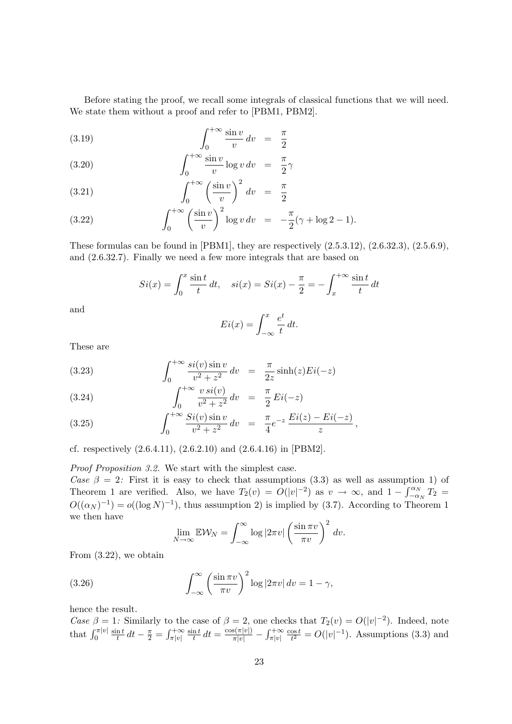Before stating the proof, we recall some integrals of classical functions that we will need. We state them without a proof and refer to [PBM1, PBM2].

$$
\int_0^{+\infty} \frac{\sin v}{v} \, dv = \frac{\pi}{2}
$$

(3.20) 
$$
\int_0^{+\infty} \frac{\sin v}{v} \log v \, dv = \frac{\pi}{2} \gamma
$$

$$
\int_0^{+\infty} \left(\frac{\sin v}{v}\right)^2 dv = \frac{\pi}{2}
$$

(3.22) 
$$
\int_0^{+\infty} \left(\frac{\sin v}{v}\right)^2 \log v \, dv = -\frac{\pi}{2}(\gamma + \log 2 - 1).
$$

These formulas can be found in  $[PBM1]$ , they are respectively  $(2.5.3.12)$ ,  $(2.6.32.3)$ ,  $(2.5.6.9)$ , and (2.6.32.7). Finally we need a few more integrals that are based on

$$
Si(x) = \int_0^x \frac{\sin t}{t} dt, \quad si(x) = Si(x) - \frac{\pi}{2} = -\int_x^{+\infty} \frac{\sin t}{t} dt
$$

and

$$
Ei(x) = \int_{-\infty}^{x} \frac{e^t}{t} dt.
$$

These are

(3.23) 
$$
\int_0^{+\infty} \frac{\sin(v) \sin v}{v^2 + z^2} dv = \frac{\pi}{2z} \sinh(z) Ei(-z)
$$

(3.24) 
$$
\int_0^{+\infty} \frac{v \, si(v)}{v^2 + z^2} \, dv = \frac{\pi}{2} Ei(-z)
$$

(3.25) 
$$
\int_0^{+\infty} \frac{Si(v)\sin v}{v^2 + z^2} dv = \frac{\pi}{4} e^{-z} \frac{Ei(z) - Ei(-z)}{z},
$$

cf. respectively (2.6.4.11), (2.6.2.10) and (2.6.4.16) in [PBM2].

Proof Proposition 3.2. We start with the simplest case.

Case  $\beta = 2$ : First it is easy to check that assumptions (3.3) as well as assumption 1) of Theorem 1 are verified. Also, we have  $T_2(v) = O(|v|^{-2})$  as  $v \to \infty$ , and  $1 - \int_{-\alpha_N}^{\alpha_N} T_2 =$  $O((\alpha_N)^{-1}) = o((\log N)^{-1})$ , thus assumption 2) is implied by (3.7). According to Theorem 1 we then have

$$
\lim_{N \to \infty} \mathbb{E} \mathcal{W}_N = \int_{-\infty}^{\infty} \log |2\pi v| \left(\frac{\sin \pi v}{\pi v}\right)^2 dv.
$$

From (3.22), we obtain

(3.26) 
$$
\int_{-\infty}^{\infty} \left(\frac{\sin \pi v}{\pi v}\right)^2 \log |2\pi v| dv = 1 - \gamma,
$$

hence the result.

Case  $\beta = 1$ : Similarly to the case of  $\beta = 2$ , one checks that  $T_2(v) = O(|v|^{-2})$ . Indeed, note that  $\int_0^{\pi|v|}$  $\sin t$  $\frac{\ln t}{t} dt - \frac{\pi}{2} = \int_{\pi|v|}^{+\infty}$  $\sin t$  $\frac{\partial n}{\partial t} dt = \frac{\cos(\pi|v|)}{\pi|v|} - \int_{\pi|v|}^{+\infty}$  $\cos t$  $\frac{\cos t}{t^2} = O(|v|^{-1})$ . Assumptions (3.3) and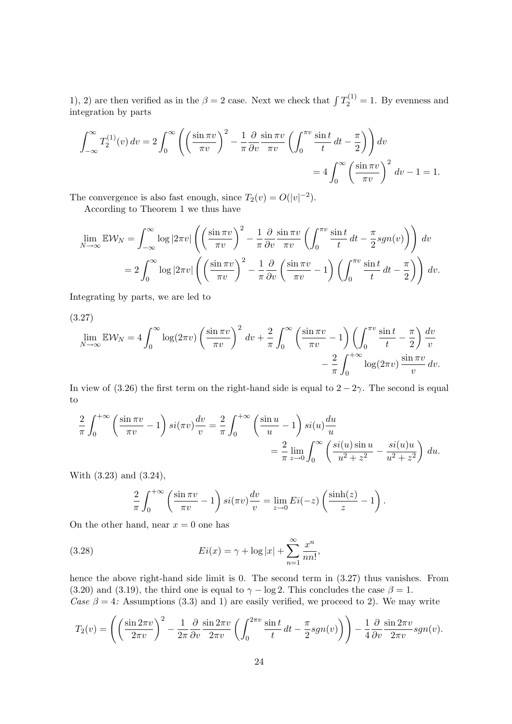1), 2) are then verified as in the  $\beta = 2$  case. Next we check that  $\int T_2^{(1)} = 1$ . By evenness and integration by parts

$$
\int_{-\infty}^{\infty} T_2^{(1)}(v) dv = 2 \int_0^{\infty} \left( \left( \frac{\sin \pi v}{\pi v} \right)^2 - \frac{1}{\pi} \frac{\partial}{\partial v} \frac{\sin \pi v}{\pi v} \left( \int_0^{\pi v} \frac{\sin t}{t} dt - \frac{\pi}{2} \right) \right) dv
$$
  
=  $4 \int_0^{\infty} \left( \frac{\sin \pi v}{\pi v} \right)^2 dv - 1 = 1.$ 

The convergence is also fast enough, since  $T_2(v) = O(|v|^{-2})$ . According to Theorem 1 we thus have

$$
\lim_{N \to \infty} \mathbb{E} \mathcal{W}_N = \int_{-\infty}^{\infty} \log |2\pi v| \left( \left( \frac{\sin \pi v}{\pi v} \right)^2 - \frac{1}{\pi} \frac{\partial}{\partial v} \frac{\sin \pi v}{\pi v} \left( \int_0^{\pi v} \frac{\sin t}{t} dt - \frac{\pi}{2} sgn(v) \right) \right) dv
$$

$$
= 2 \int_0^{\infty} \log |2\pi v| \left( \left( \frac{\sin \pi v}{\pi v} \right)^2 - \frac{1}{\pi} \frac{\partial}{\partial v} \left( \frac{\sin \pi v}{\pi v} - 1 \right) \left( \int_0^{\pi v} \frac{\sin t}{t} dt - \frac{\pi}{2} \right) \right) dv.
$$

Integrating by parts, we are led to

(3.27)  $\lim_{N\to\infty} \mathbb{E}\mathcal{W}_N = 4 \int_0^\infty$  $\boldsymbol{0}$  $\log(2\pi v)\left(\frac{\sin \pi v}{\pi v}\right)^2 dv + \frac{2}{\pi}$  $\pi$  $\int^{\infty}$ 0  $\sin \pi v$  $\left(\frac{\ln \pi v}{\pi v} - 1\right) \left(\int_0^{\pi v}$ 0  $\sin t$  $\frac{\mathrm{n} t}{t} - \frac{\pi}{2}$ 2  $\bigwedge dv$ v − 2  $\pi$  $\int^{+\infty}$ 0  $\log(2\pi v) \frac{\sin \pi v}{\sin^2 2\pi v}$  $\frac{1}{v} dv$ .

In view of (3.26) the first term on the right-hand side is equal to  $2 - 2\gamma$ . The second is equal to

$$
\frac{2}{\pi} \int_0^{+\infty} \left( \frac{\sin \pi v}{\pi v} - 1 \right) si(\pi v) \frac{dv}{v} = \frac{2}{\pi} \int_0^{+\infty} \left( \frac{\sin u}{u} - 1 \right) si(u) \frac{du}{u}
$$

$$
= \frac{2}{\pi} \lim_{z \to 0} \int_0^{\infty} \left( \frac{si(u) \sin u}{u^2 + z^2} - \frac{si(u)u}{u^2 + z^2} \right) du.
$$

With (3.23) and (3.24),

$$
\frac{2}{\pi} \int_0^{+\infty} \left( \frac{\sin \pi v}{\pi v} - 1 \right) si(\pi v) \frac{dv}{v} = \lim_{z \to 0} Ei(-z) \left( \frac{\sinh(z)}{z} - 1 \right).
$$

On the other hand, near  $x = 0$  one has

(3.28) 
$$
Ei(x) = \gamma + \log|x| + \sum_{n=1}^{\infty} \frac{x^n}{nn!},
$$

hence the above right-hand side limit is 0. The second term in (3.27) thus vanishes. From (3.20) and (3.19), the third one is equal to  $\gamma - \log 2$ . This concludes the case  $\beta = 1$ . Case  $\beta = 4$ : Assumptions (3.3) and 1) are easily verified, we proceed to 2). We may write

$$
T_2(v) = \left( \left( \frac{\sin 2\pi v}{2\pi v} \right)^2 - \frac{1}{2\pi} \frac{\partial}{\partial v} \frac{\sin 2\pi v}{2\pi v} \left( \int_0^{2\pi v} \frac{\sin t}{t} dt - \frac{\pi}{2} sgn(v) \right) \right) - \frac{1}{4} \frac{\partial}{\partial v} \frac{\sin 2\pi v}{2\pi v} sgn(v).
$$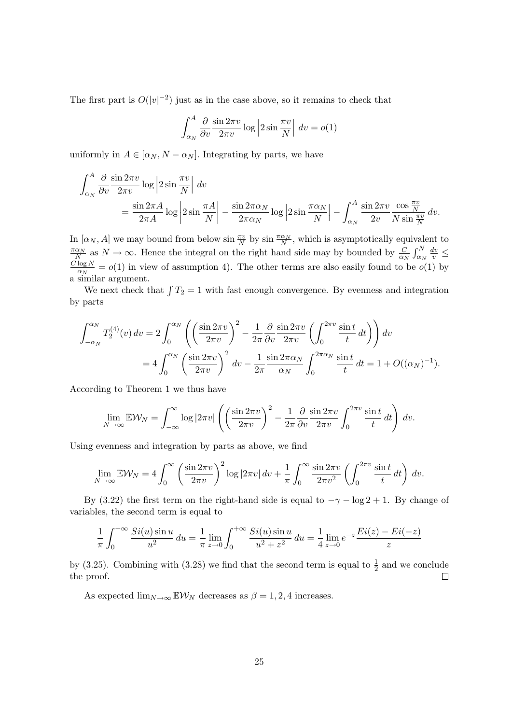The first part is  $O(|v|^{-2})$  just as in the case above, so it remains to check that

$$
\int_{\alpha_N}^{A} \frac{\partial}{\partial v} \frac{\sin 2\pi v}{2\pi v} \log \left| 2 \sin \frac{\pi v}{N} \right| dv = o(1)
$$

uniformly in  $A \in [\alpha_N, N - \alpha_N]$ . Integrating by parts, we have

$$
\int_{\alpha_N}^{A} \frac{\partial}{\partial v} \frac{\sin 2\pi v}{2\pi v} \log \left| 2 \sin \frac{\pi v}{N} \right| dv
$$
  
= 
$$
\frac{\sin 2\pi A}{2\pi A} \log \left| 2 \sin \frac{\pi A}{N} \right| - \frac{\sin 2\pi \alpha_N}{2\pi \alpha_N} \log \left| 2 \sin \frac{\pi \alpha_N}{N} \right| - \int_{\alpha_N}^{A} \frac{\sin 2\pi v}{2v} \frac{\cos \frac{\pi v}{N}}{N \sin \frac{\pi v}{N}} dv.
$$

In  $[\alpha_N, A]$  we may bound from below  $\sin \frac{\pi v}{N}$  by  $\sin \frac{\pi \alpha_N}{N}$ , which is asymptotically equivalent to  $\frac{\pi\alpha_N}{N}$  as  $N \to \infty$ . Hence the integral on the right hand side may by bounded by  $\frac{C}{\alpha_N} \int_{\alpha_N}^N$  $\frac{\pi \alpha_N}{N}$  as  $N \to \infty$ . Hence the integral on the right hand side may by bounded by  $\frac{C}{\alpha_N} \int_{\alpha_N}^N \frac{dv}{v} \leq C \log N = o(1)$  in view of assumption 4). The other terms are also easily found to be  $o(1)$  by  $\frac{\log N}{\alpha_N} = o(1)$  in view of assumption 4). The other terms are also easily found to be  $o(1)$  by a similar argument.

We next check that  $\int T_2 = 1$  with fast enough convergence. By evenness and integration by parts

$$
\int_{-\alpha_N}^{\alpha_N} T_2^{(4)}(v) dv = 2 \int_0^{\alpha_N} \left( \left( \frac{\sin 2\pi v}{2\pi v} \right)^2 - \frac{1}{2\pi} \frac{\partial}{\partial v} \frac{\sin 2\pi v}{2\pi v} \left( \int_0^{2\pi v} \frac{\sin t}{t} dt \right) \right) dv
$$
  
= 
$$
4 \int_0^{\alpha_N} \left( \frac{\sin 2\pi v}{2\pi v} \right)^2 dv - \frac{1}{2\pi} \frac{\sin 2\pi \alpha_N}{\alpha_N} \int_0^{2\pi \alpha_N} \frac{\sin t}{t} dt = 1 + O((\alpha_N)^{-1}).
$$

According to Theorem 1 we thus have

$$
\lim_{N \to \infty} \mathbb{E} \mathcal{W}_N = \int_{-\infty}^{\infty} \log |2\pi v| \left( \left( \frac{\sin 2\pi v}{2\pi v} \right)^2 - \frac{1}{2\pi} \frac{\partial}{\partial v} \frac{\sin 2\pi v}{2\pi v} \int_0^{2\pi v} \frac{\sin t}{t} dt \right) dv.
$$

Using evenness and integration by parts as above, we find

$$
\lim_{N \to \infty} \mathbb{E} \mathcal{W}_N = 4 \int_0^\infty \left( \frac{\sin 2\pi v}{2\pi v} \right)^2 \log |2\pi v| \, dv + \frac{1}{\pi} \int_0^\infty \frac{\sin 2\pi v}{2\pi v^2} \left( \int_0^{2\pi v} \frac{\sin t}{t} \, dt \right) \, dv.
$$

By (3.22) the first term on the right-hand side is equal to  $-\gamma - \log 2 + 1$ . By change of variables, the second term is equal to

$$
\frac{1}{\pi} \int_0^{+\infty} \frac{Si(u)\sin u}{u^2} du = \frac{1}{\pi} \lim_{z \to 0} \int_0^{+\infty} \frac{Si(u)\sin u}{u^2 + z^2} du = \frac{1}{4} \lim_{z \to 0} e^{-z} \frac{Ei(z) - Ei(-z)}{z}
$$

by (3.25). Combining with (3.28) we find that the second term is equal to  $\frac{1}{2}$  and we conclude the proof.  $\Box$ 

As expected  $\lim_{N\to\infty}$  EW<sub>N</sub> decreases as  $\beta = 1, 2, 4$  increases.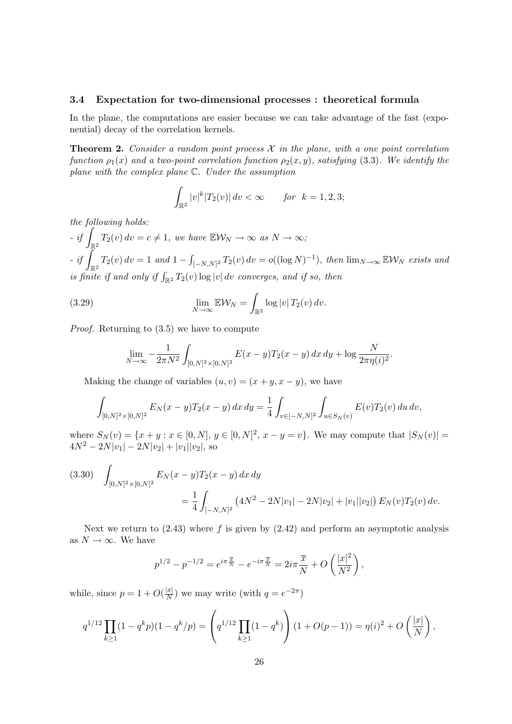#### 3.4 Expectation for two-dimensional processes : theoretical formula

In the plane, the computations are easier because we can take advantage of the fast (exponential) decay of the correlation kernels.

**Theorem 2.** Consider a random point process  $\mathcal{X}$  in the plane, with a one point correlation function  $\rho_1(x)$  and a two-point correlation function  $\rho_2(x, y)$ , satisfying (3.3). We identify the plane with the complex plane C. Under the assumption

$$
\int_{\mathbb{R}^2} |v|^k |T_2(v)| \, dv < \infty \qquad \text{for } k = 1, 2, 3;
$$

the following holds:

 $- if \int_{\mathbb{R}^2} T_2(v) dv = c \neq 1$ , we have  $\mathbb{E} \mathcal{W}_N \to \infty$  as  $N \to \infty$ ;  $-$  if  $\int_{\mathbb{R}^2} T_2(v) dv = 1$  and  $1 - \int_{[-N,N]^2} T_2(v) dv = o((\log N)^{-1}),$  then  $\lim_{N \to \infty} \mathbb{E} \mathcal{W}_N$  exists and is finite if and only if  $\int_{\mathbb{R}^2} T_2(v) \log |v| dv$  converges, and if so, then

(3.29) 
$$
\lim_{N \to \infty} \mathbb{E} \mathcal{W}_N = \int_{\mathbb{R}^2} \log |v| \, T_2(v) \, dv.
$$

Proof. Returning to (3.5) we have to compute

$$
\lim_{N \to \infty} -\frac{1}{2\pi N^2} \int_{[0,N]^2 \times [0,N]^2} E(x-y) T_2(x-y) dx dy + \log \frac{N}{2\pi \eta(i)^2}.
$$

Making the change of variables  $(u, v) = (x + y, x - y)$ , we have

$$
\int_{[0,N]^2 \times [0,N]^2} E_N(x-y) T_2(x-y) \, dx \, dy = \frac{1}{4} \int_{v \in [-N,N]^2} \int_{u \in S_N(v)} E(v) T_2(v) \, du \, dv,
$$

where  $S_N(v) = \{x + y : x \in [0, N], y \in [0, N]^2, x - y = v\}$ . We may compute that  $|S_N(v)| =$  $4N^2 - 2N|v_1| - 2N|v_2| + |v_1||v_2|$ , so

$$
(3.30) \quad \int_{[0,N]^2 \times [0,N]^2} E_N(x-y) T_2(x-y) \, dx \, dy
$$

$$
= \frac{1}{4} \int_{[-N,N]^2} \left( 4N^2 - 2N|v_1| - 2N|v_2| + |v_1||v_2| \right) E_N(v) T_2(v) \, dv.
$$

Next we return to  $(2.43)$  where f is given by  $(2.42)$  and perform an asymptotic analysis as  $N \to \infty$ . We have

$$
p^{1/2} - p^{-1/2} = e^{i\pi \frac{\overline{x}}{N}} - e^{-i\pi \frac{\overline{x}}{N}} = 2i\pi \frac{\overline{x}}{N} + O\left(\frac{|x|^2}{N^2}\right),
$$

while, since  $p = 1 + O(\frac{|x|}{N})$  $\frac{|x|}{N}$ ) we may write (with  $q = e^{-2\pi}$ )

$$
q^{1/12} \prod_{k\geq 1} (1-q^k p)(1-q^k/p) = \left(q^{1/12} \prod_{k\geq 1} (1-q^k)\right) (1+O(p-1)) = \eta(i)^2 + O\left(\frac{|x|}{N}\right),
$$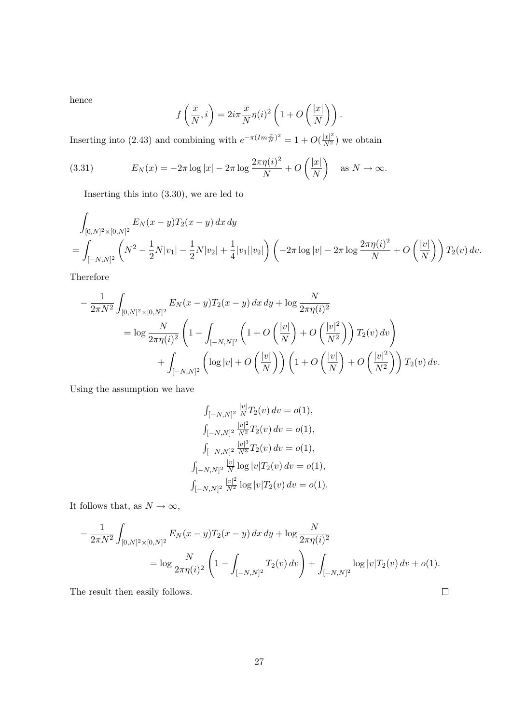hence

$$
f\left(\frac{\overline{x}}{N},i\right) = 2i\pi \frac{\overline{x}}{N} \eta(i)^2 \left(1 + O\left(\frac{|x|}{N}\right)\right).
$$

Inserting into (2.43) and combining with  $e^{-\pi (Im \frac{x}{N})^2} = 1 + O(\frac{|x|^2}{N^2})$  we obtain

(3.31) 
$$
E_N(x) = -2\pi \log|x| - 2\pi \log \frac{2\pi \eta(i)^2}{N} + O\left(\frac{|x|}{N}\right) \text{ as } N \to \infty.
$$

Inserting this into (3.30), we are led to

$$
\int_{[0,N]^2 \times [0,N]^2} E_N(x-y) T_2(x-y) \, dx \, dy
$$
\n
$$
= \int_{[-N,N]^2} \left( N^2 - \frac{1}{2} N |v_1| - \frac{1}{2} N |v_2| + \frac{1}{4} |v_1||v_2| \right) \left( -2\pi \log |v| - 2\pi \log \frac{2\pi \eta(i)^2}{N} + O\left(\frac{|v|}{N}\right) \right) T_2(v) \, dv.
$$

Therefore

$$
-\frac{1}{2\pi N^2} \int_{[0,N]^2 \times [0,N]^2} E_N(x-y) T_2(x-y) dx dy + \log \frac{N}{2\pi \eta(i)^2}
$$
  
=  $\log \frac{N}{2\pi \eta(i)^2} \left(1 - \int_{[-N,N]^2} \left(1 + O\left(\frac{|v|}{N}\right) + O\left(\frac{|v|^2}{N^2}\right)\right) T_2(v) dv\right) + \int_{[-N,N]^2} \left(\log |v| + O\left(\frac{|v|}{N}\right)\right) \left(1 + O\left(\frac{|v|}{N}\right) + O\left(\frac{|v|^2}{N^2}\right)\right) T_2(v) dv.$ 

Using the assumption we have

$$
\int_{[-N,N]^2} \frac{|v|}{N} T_2(v) dv = o(1),
$$
  

$$
\int_{[-N,N]^2} \frac{|v|^2}{N^2} T_2(v) dv = o(1),
$$
  

$$
\int_{[-N,N]^2} \frac{|v|^3}{N^3} T_2(v) dv = o(1),
$$
  

$$
\int_{[-N,N]^2} \frac{|v|}{N} \log |v| T_2(v) dv = o(1),
$$
  

$$
\int_{[-N,N]^2} \frac{|v|^2}{N^2} \log |v| T_2(v) dv = o(1).
$$

It follows that, as  $N\to\infty,$ 

$$
-\frac{1}{2\pi N^2} \int_{[0,N]^2 \times [0,N]^2} E_N(x-y) T_2(x-y) dx dy + \log \frac{N}{2\pi \eta(i)^2}
$$
  
=  $\log \frac{N}{2\pi \eta(i)^2} \left(1 - \int_{[-N,N]^2} T_2(v) dv\right) + \int_{[-N,N]^2} \log |v| T_2(v) dv + o(1).$ 

 $\Box$ 

The result then easily follows.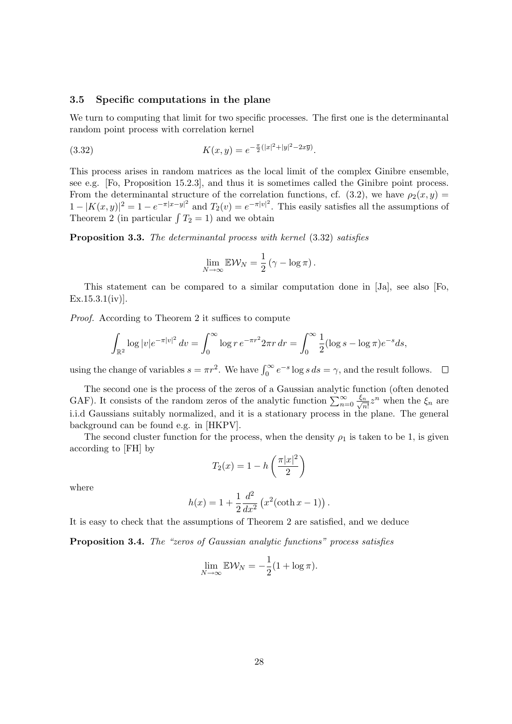#### 3.5 Specific computations in the plane

We turn to computing that limit for two specific processes. The first one is the determinantal random point process with correlation kernel

(3.32) 
$$
K(x,y) = e^{-\frac{\pi}{2}(|x|^2 + |y|^2 - 2x\overline{y})}.
$$

This process arises in random matrices as the local limit of the complex Ginibre ensemble, see e.g. [Fo, Proposition 15.2.3], and thus it is sometimes called the Ginibre point process. From the determinantal structure of the correlation functions, cf. (3.2), we have  $\rho_2(x, y) =$  $1-|K(x,y)|^2=1-e^{-\pi|x-y|^2}$  and  $T_2(v)=e^{-\pi|v|^2}$ . This easily satisfies all the assumptions of Theorem 2 (in particular  $\int T_2 = 1$ ) and we obtain

Proposition 3.3. The determinantal process with kernel (3.32) satisfies

$$
\lim_{N \to \infty} \mathbb{E} \mathcal{W}_N = \frac{1}{2} (\gamma - \log \pi).
$$

This statement can be compared to a similar computation done in [Ja], see also [Fo,  $Ex.15.3.1(iv)$ ].

Proof. According to Theorem 2 it suffices to compute

$$
\int_{\mathbb{R}^2} \log |v| e^{-\pi |v|^2} dv = \int_0^\infty \log r e^{-\pi r^2} 2\pi r dr = \int_0^\infty \frac{1}{2} (\log s - \log \pi) e^{-s} ds,
$$

using the change of variables  $s = \pi r^2$ . We have  $\int_0^\infty e^{-s} \log s \, ds = \gamma$ , and the result follows.  $\Box$ 

The second one is the process of the zeros of a Gaussian analytic function (often denoted GAF). It consists of the random zeros of the analytic function  $\sum_{n=0}^{\infty} \frac{\xi_n}{\sqrt{n}}$  $\frac{n}{n!}z^n$  when the  $\xi_n$  are i.i.d Gaussians suitably normalized, and it is a stationary process in the plane. The general background can be found e.g. in [HKPV].

The second cluster function for the process, when the density  $\rho_1$  is taken to be 1, is given according to [FH] by

$$
T_2(x) = 1 - h\left(\frac{\pi |x|^2}{2}\right)
$$

where

$$
h(x) = 1 + \frac{1}{2} \frac{d^2}{dx^2} (x^2 (\coth x - 1)).
$$

It is easy to check that the assumptions of Theorem 2 are satisfied, and we deduce

Proposition 3.4. The "zeros of Gaussian analytic functions" process satisfies

$$
\lim_{N \to \infty} \mathbb{E} \mathcal{W}_N = -\frac{1}{2} (1 + \log \pi).
$$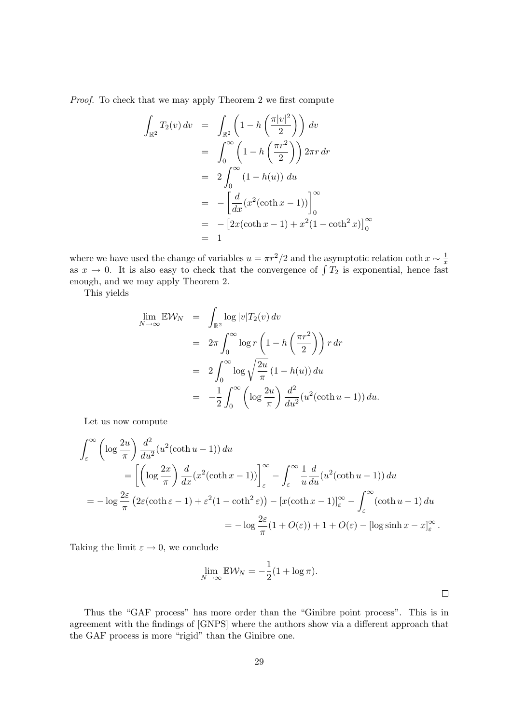Proof. To check that we may apply Theorem 2 we first compute

$$
\int_{\mathbb{R}^2} T_2(v) dv = \int_{\mathbb{R}^2} \left( 1 - h\left(\frac{\pi |v|^2}{2}\right) \right) dv
$$
  
\n
$$
= \int_0^\infty \left( 1 - h\left(\frac{\pi r^2}{2}\right) \right) 2\pi r dr
$$
  
\n
$$
= 2 \int_0^\infty (1 - h(u)) du
$$
  
\n
$$
= -\left[ \frac{d}{dx} (x^2 (\coth x - 1)) \right]_0^\infty
$$
  
\n
$$
= -\left[ 2x (\coth x - 1) + x^2 (1 - \coth^2 x) \right]_0^\infty
$$
  
\n
$$
= 1
$$

where we have used the change of variables  $u = \pi r^2/2$  and the asymptotic relation coth  $x \sim \frac{1}{\pi}$ x as  $x \to 0$ . It is also easy to check that the convergence of  $\int T_2$  is exponential, hence fast enough, and we may apply Theorem 2.

This yields

$$
\lim_{N \to \infty} \mathbb{E} \mathcal{W}_N = \int_{\mathbb{R}^2} \log |v| T_2(v) dv
$$
  
\n
$$
= 2\pi \int_0^\infty \log r \left( 1 - h \left( \frac{\pi r^2}{2} \right) \right) r dr
$$
  
\n
$$
= 2 \int_0^\infty \log \sqrt{\frac{2u}{\pi}} (1 - h(u)) du
$$
  
\n
$$
= -\frac{1}{2} \int_0^\infty \left( \log \frac{2u}{\pi} \right) \frac{d^2}{du^2} (u^2 (\coth u - 1)) du.
$$

Let us now compute

$$
\int_{\varepsilon}^{\infty} \left( \log \frac{2u}{\pi} \right) \frac{d^2}{du^2} (u^2 (\coth u - 1)) du
$$
  
\n
$$
= \left[ \left( \log \frac{2x}{\pi} \right) \frac{d}{dx} (x^2 (\coth x - 1)) \right]_{\varepsilon}^{\infty} - \int_{\varepsilon}^{\infty} \frac{1}{u} \frac{d}{du} (u^2 (\coth u - 1)) du
$$
  
\n
$$
= -\log \frac{2\varepsilon}{\pi} \left( 2\varepsilon (\coth \varepsilon - 1) + \varepsilon^2 (1 - \coth^2 \varepsilon) \right) - \left[ x (\coth x - 1) \right]_{\varepsilon}^{\infty} - \int_{\varepsilon}^{\infty} (\coth u - 1) du
$$
  
\n
$$
= -\log \frac{2\varepsilon}{\pi} (1 + O(\varepsilon)) + 1 + O(\varepsilon) - \left[ \log \sinh x - x \right]_{\varepsilon}^{\infty}.
$$

Taking the limit  $\varepsilon \to 0$ , we conclude

$$
\lim_{N \to \infty} \mathbb{E} \mathcal{W}_N = -\frac{1}{2} (1 + \log \pi).
$$

Thus the "GAF process" has more order than the "Ginibre point process". This is in agreement with the findings of [GNPS] where the authors show via a different approach that the GAF process is more "rigid" than the Ginibre one.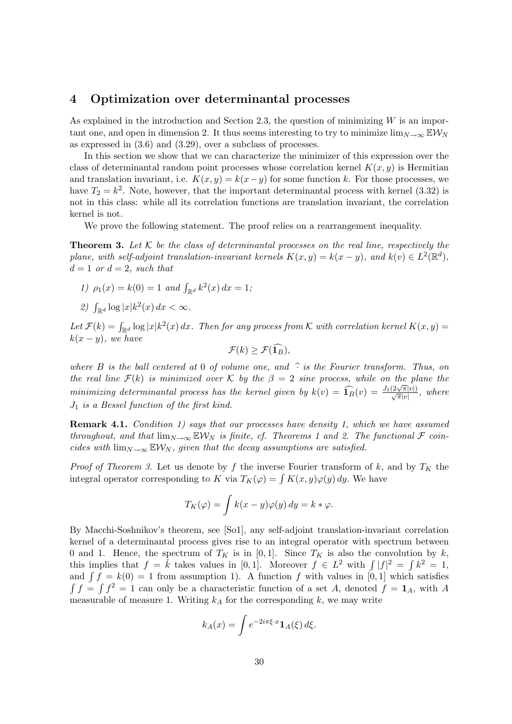## 4 Optimization over determinantal processes

As explained in the introduction and Section 2.3, the question of minimizing  $W$  is an important one, and open in dimension 2. It thus seems interesting to try to minimize  $\lim_{N\to\infty} \mathbb{E} \mathcal{W}_N$ as expressed in (3.6) and (3.29), over a subclass of processes.

In this section we show that we can characterize the minimizer of this expression over the class of determinantal random point processes whose correlation kernel  $K(x, y)$  is Hermitian and translation invariant, i.e.  $K(x, y) = k(x - y)$  for some function k. For those processes, we have  $T_2 = k^2$ . Note, however, that the important determinantal process with kernel (3.32) is not in this class: while all its correlation functions are translation invariant, the correlation kernel is not.

We prove the following statement. The proof relies on a rearrangement inequality.

**Theorem 3.** Let  $K$  be the class of determinantal processes on the real line, respectively the plane, with self-adjoint translation-invariant kernels  $K(x, y) = k(x - y)$ , and  $k(v) \in L^2(\mathbb{R}^d)$ ,  $d=1$  or  $d=2$ , such that

- 1)  $\rho_1(x) = k(0) = 1$  and  $\int_{\mathbb{R}^d} k^2(x) dx = 1$ ;
- 2)  $\int_{\mathbb{R}^d} \log |x| k^2(x) dx < \infty$ .

Let  $\mathcal{F}(k) = \int_{\mathbb{R}^d} \log |x| k^2(x) dx$ . Then for any process from K with correlation kernel  $K(x, y) =$  $k(x - y)$ , we have

$$
\mathcal{F}(k) \geq \mathcal{F}(\widehat{\mathbf{1}_B}),
$$

where B is the ball centered at 0 of volume one, and  $\hat{\cdot}$  is the Fourier transform. Thus, on the real line  $\mathcal{F}(k)$  is minimized over K by the  $\beta = 2$  sine process, while on the plane the minimizing determinantal process has the kernel given by  $k(v) = \widehat{1_B}(v) = \frac{J_1(2\sqrt{\pi}|v|)}{\sqrt{\pi}|v|}$ , where J<sup>1</sup> is a Bessel function of the first kind.

**Remark 4.1.** Condition 1) says that our processes have density 1, which we have assumed throughout, and that  $\lim_{N\to\infty}$   $\mathbb{E}W_N$  is finite, cf. Theorems 1 and 2. The functional  $\mathcal F$  coincides with  $\lim_{N\to\infty}$  EW<sub>N</sub>, given that the decay assumptions are satisfied.

*Proof of Theorem 3.* Let us denote by f the inverse Fourier transform of k, and by  $T_K$  the integral operator corresponding to K via  $T_K(\varphi) = \int K(x, y)\varphi(y) dy$ . We have

$$
T_K(\varphi) = \int k(x - y)\varphi(y) \, dy = k * \varphi.
$$

By Macchi-Soshnikov's theorem, see [So1], any self-adjoint translation-invariant correlation kernel of a determinantal process gives rise to an integral operator with spectrum between 0 and 1. Hence, the spectrum of  $T_K$  is in [0,1]. Since  $T_K$  is also the convolution by k, this implies that  $f = \tilde{k}$  takes values in [0,1]. Moreover  $f \in L^2$  with  $\int |f|^2 = \int k^2 = 1$ , and  $\int f = k(0) = 1$  from assumption 1). A function f with values in [0, 1] which satisfies  $\int f = \int f^2 = 1$  can only be a characteristic function of a set A, denoted  $f = \mathbf{1}_A$ , with A measurable of measure 1. Writing  $k_A$  for the corresponding k, we may write

$$
k_A(x) = \int e^{-2i\pi\xi \cdot x} \mathbf{1}_A(\xi) d\xi.
$$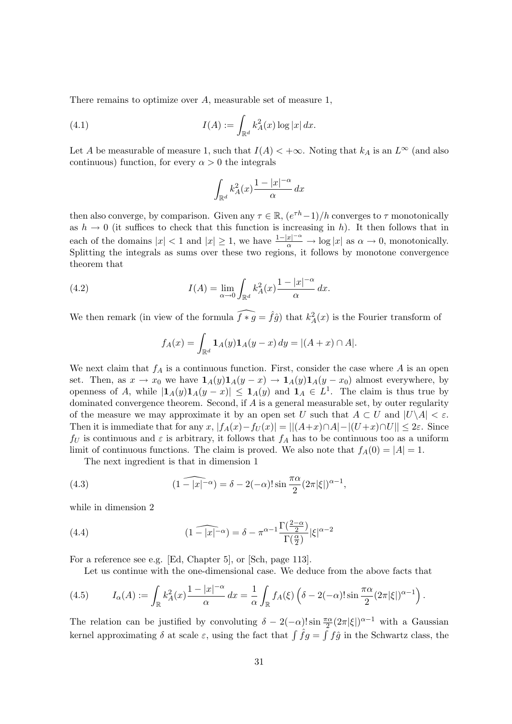There remains to optimize over A, measurable set of measure 1,

(4.1) 
$$
I(A) := \int_{\mathbb{R}^d} k_A^2(x) \log |x| \, dx.
$$

Let A be measurable of measure 1, such that  $I(A) < +\infty$ . Noting that  $k_A$  is an  $L^{\infty}$  (and also continuous) function, for every  $\alpha > 0$  the integrals

$$
\int_{\mathbb{R}^d} k_A^2(x) \frac{1 - |x|^{-\alpha}}{\alpha} dx
$$

then also converge, by comparison. Given any  $\tau \in \mathbb{R}$ ,  $(e^{\tau h}-1)/h$  converges to  $\tau$  monotonically as  $h \to 0$  (it suffices to check that this function is increasing in h). It then follows that in each of the domains  $|x| < 1$  and  $|x| \geq 1$ , we have  $\frac{1-|x|^{-\alpha}}{\alpha} \to \log |x|$  as  $\alpha \to 0$ , monotonically. Splitting the integrals as sums over these two regions, it follows by monotone convergence theorem that

(4.2) 
$$
I(A) = \lim_{\alpha \to 0} \int_{\mathbb{R}^d} k_A^2(x) \frac{1 - |x|^{-\alpha}}{\alpha} dx.
$$

We then remark (in view of the formula  $\widehat{f * g} = \widehat{f}\widehat{g}$ ) that  $k_A^2(x)$  is the Fourier transform of

$$
f_A(x) = \int_{\mathbb{R}^d} \mathbf{1}_A(y) \mathbf{1}_A(y-x) \, dy = |(A+x) \cap A|.
$$

We next claim that  $f_A$  is a continuous function. First, consider the case where A is an open set. Then, as  $x \to x_0$  we have  $\mathbf{1}_A(y)\mathbf{1}_A(y-x) \to \mathbf{1}_A(y)\mathbf{1}_A(y-x_0)$  almost everywhere, by openness of A, while  $|1_A(y)1_A(y-x)| \leq 1_A(y)$  and  $1_A \in L^1$ . The claim is thus true by dominated convergence theorem. Second, if  $A$  is a general measurable set, by outer regularity of the measure we may approximate it by an open set U such that  $A \subset U$  and  $|U \backslash A| < \varepsilon$ . Then it is immediate that for any  $x, |f_A(x)-f_U(x)| = ||(A+x) \cap A|-|(U+x) \cap U|| \leq 2\varepsilon$ . Since  $f_U$  is continuous and  $\varepsilon$  is arbitrary, it follows that  $f_A$  has to be continuous too as a uniform limit of continuous functions. The claim is proved. We also note that  $f_A(0) = |A| = 1$ .

The next ingredient is that in dimension 1

(4.3) 
$$
(1 - |x|^{-\alpha}) = \delta - 2(-\alpha)! \sin \frac{\pi \alpha}{2} (2\pi |\xi|)^{\alpha - 1},
$$

while in dimension 2

(4.4) 
$$
\widehat{\left(1-|x|^{-\alpha}\right)} = \delta - \pi^{\alpha-1} \frac{\Gamma\left(\frac{2-\alpha}{2}\right)}{\Gamma\left(\frac{\alpha}{2}\right)} |\xi|^{\alpha-2}
$$

For a reference see e.g. [Ed, Chapter 5], or [Sch, page 113].

Let us continue with the one-dimensional case. We deduce from the above facts that

(4.5) 
$$
I_{\alpha}(A) := \int_{\mathbb{R}} k_A^2(x) \frac{1 - |x|^{-\alpha}}{\alpha} dx = \frac{1}{\alpha} \int_{\mathbb{R}} f_A(\xi) \left( \delta - 2(-\alpha)! \sin \frac{\pi \alpha}{2} (2\pi |\xi|)^{\alpha - 1} \right).
$$

The relation can be justified by convoluting  $\delta - 2(-\alpha)! \sin \frac{\pi \alpha}{2} (2\pi |\xi|)^{\alpha-1}$  with a Gaussian kernel approximating  $\delta$  at scale  $\varepsilon$ , using the fact that  $\int \hat{f}g = \int f\hat{g}$  in the Schwartz class, the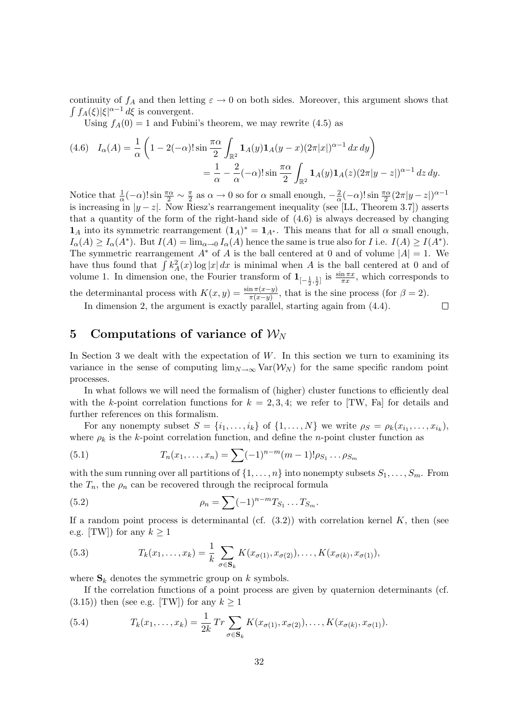continuity of  $f_A$  and then letting  $\varepsilon \to 0$  on both sides. Moreover, this argument shows that  $\int f_A(\xi)|\xi|^{\alpha-1} d\xi$  is convergent.

Using  $f_A(0) = 1$  and Fubini's theorem, we may rewrite (4.5) as

$$
(4.6) \quad I_{\alpha}(A) = \frac{1}{\alpha} \left( 1 - 2(-\alpha)! \sin \frac{\pi \alpha}{2} \int_{\mathbb{R}^2} \mathbf{1}_A(y) \mathbf{1}_A(y-x) (2\pi |x|)^{\alpha - 1} dx dy \right)
$$
  
= 
$$
\frac{1}{\alpha} - \frac{2}{\alpha} (-\alpha)! \sin \frac{\pi \alpha}{2} \int_{\mathbb{R}^2} \mathbf{1}_A(y) \mathbf{1}_A(z) (2\pi |y-z|)^{\alpha - 1} dz dy.
$$

Notice that  $\frac{1}{\alpha}(-\alpha)! \sin \frac{\pi \alpha}{2} \sim \frac{\pi}{2}$  $\frac{\pi}{2}$  as  $\alpha \to 0$  so for  $\alpha$  small enough,  $-\frac{2}{\alpha}$  $\frac{2}{\alpha}(-\alpha)! \sin \frac{\pi \alpha}{2} (2\pi |y-z|)^{\alpha-1}$ is increasing in  $|y - z|$ . Now Riesz's rearrangement inequality (see [LL, Theorem 3.7]) asserts that a quantity of the form of the right-hand side of  $(4.6)$  is always decreased by changing  $\mathbf{1}_A$  into its symmetric rearrangement  $(\mathbf{1}_A)^* = \mathbf{1}_{A^*}$ . This means that for all  $\alpha$  small enough,  $I_{\alpha}(A) \ge I_{\alpha}(A^*)$ . But  $I(A) = \lim_{\alpha \to 0} I_{\alpha}(A)$  hence the same is true also for I i.e.  $I(A) \ge I(A^*)$ . The symmetric rearrangement  $A^*$  of A is the ball centered at 0 and of volume  $|A| = 1$ . We have thus found that  $\int k_A^2(x) \log |x| dx$  is minimal when A is the ball centered at 0 and of volume 1. In dimension one, the Fourier transform of  $1_{[-\frac{1}{2},\frac{1}{2}]}$  is  $\frac{\sin \pi x}{\pi x}$ , which corresponds to the determinantal process with  $K(x, y) = \frac{\sin \pi (x-y)}{\pi (x-y)}$ , that is the sine process (for  $\beta = 2$ ).  $\Box$ 

In dimension 2, the argument is exactly parallel, starting again from  $(4.4)$ .

## 5 Computations of variance of  $W_N$

In Section 3 we dealt with the expectation of  $W$ . In this section we turn to examining its variance in the sense of computing  $\lim_{N\to\infty} \text{Var}(\mathcal{W}_N)$  for the same specific random point processes.

In what follows we will need the formalism of (higher) cluster functions to efficiently deal with the k-point correlation functions for  $k = 2, 3, 4$ ; we refer to [TW, Fa] for details and further references on this formalism.

For any nonempty subset  $S = \{i_1, \ldots, i_k\}$  of  $\{1, \ldots, N\}$  we write  $\rho_S = \rho_k(x_{i_1}, \ldots, x_{i_k}),$ where  $\rho_k$  is the k-point correlation function, and define the *n*-point cluster function as

(5.1) 
$$
T_n(x_1,...,x_n) = \sum (-1)^{n-m} (m-1)! \rho_{S_1} ... \rho_{S_m}
$$

with the sum running over all partitions of  $\{1, \ldots, n\}$  into nonempty subsets  $S_1, \ldots, S_m$ . From the  $T_n$ , the  $\rho_n$  can be recovered through the reciprocal formula

(5.2) 
$$
\rho_n = \sum (-1)^{n-m} T_{S_1} \dots T_{S_m}.
$$

If a random point process is determinantal (cf.  $(3.2)$ ) with correlation kernel K, then (see e.g. [TW]) for any  $k \geq 1$ 

(5.3) 
$$
T_k(x_1,\ldots,x_k) = \frac{1}{k} \sum_{\sigma \in \mathbf{S}_k} K(x_{\sigma(1)},x_{\sigma(2)}),\ldots,K(x_{\sigma(k)},x_{\sigma(1)}),
$$

where  $S_k$  denotes the symmetric group on k symbols.

If the correlation functions of a point process are given by quaternion determinants (cf.  $(3.15)$ ) then (see e.g. [TW]) for any  $k \geq 1$ 

(5.4) 
$$
T_k(x_1,\ldots,x_k) = \frac{1}{2k} Tr \sum_{\sigma \in \mathbf{S}_k} K(x_{\sigma(1)},x_{\sigma(2)}),\ldots,K(x_{\sigma(k)},x_{\sigma(1)}).
$$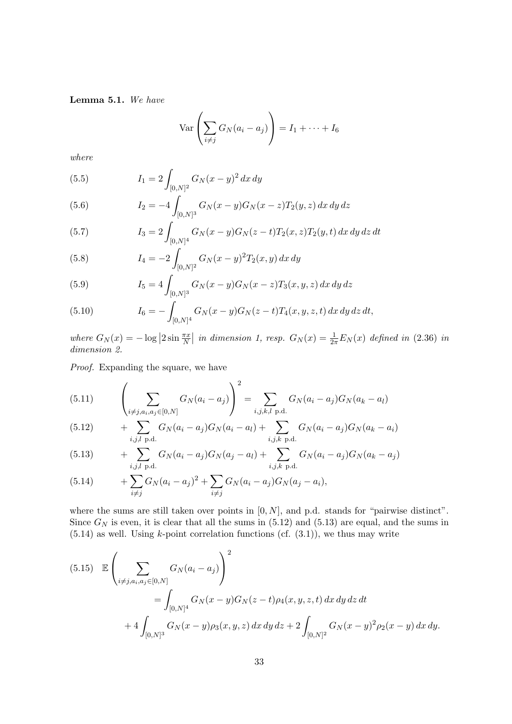Lemma 5.1. We have

$$
\operatorname{Var}\left(\sum_{i \neq j} G_N(a_i - a_j)\right) = I_1 + \dots + I_6
$$

where

(5.5) 
$$
I_1 = 2 \int_{[0,N]^2} G_N(x-y)^2 dx dy
$$

(5.6) 
$$
I_2 = -4 \int_{[0,N]^3} G_N(x-y)G_N(x-z)T_2(y,z) dx dy dz
$$

(5.7) 
$$
I_3 = 2 \int_{[0,N]^4} G_N(x-y)G_N(z-t)T_2(x,z)T_2(y,t) dx dy dz dt
$$

(5.8) 
$$
I_4 = -2 \int_{[0,N]^2} G_N(x-y)^2 T_2(x,y) dx dy
$$

(5.9) 
$$
I_5 = 4 \int_{[0,N]^3} G_N(x-y) G_N(x-z) T_3(x,y,z) dx dy dz
$$

(5.10) 
$$
I_6 = -\int_{[0,N]^4} G_N(x-y)G_N(z-t)T_4(x,y,z,t) dx dy dz dt,
$$

where  $G_N(x) = -\log |2 \sin \frac{\pi x}{N}|$  in dimension 1, resp.  $G_N(x) = \frac{1}{2\pi} E_N(x)$  defined in (2.36) in dimension 2.

Proof. Expanding the square, we have

(5.11) 
$$
\left(\sum_{i \neq j, a_i, a_j \in [0, N]} G_N(a_i - a_j)\right)^2 = \sum_{i, j, k, l \text{ p.d.}} G_N(a_i - a_j)G_N(a_k - a_l)
$$

(5.12) 
$$
+ \sum_{i,j,l \text{ p.d.}} G_N(a_i - a_j)G_N(a_i - a_l) + \sum_{i,j,k \text{ p.d.}} G_N(a_i - a_j)G_N(a_k - a_i)
$$

(5.13) 
$$
+ \sum_{i,j,l \text{ p.d.}} G_N(a_i - a_j)G_N(a_j - a_l) + \sum_{i,j,k \text{ p.d.}} G_N(a_i - a_j)G_N(a_k - a_j)
$$

(5.14) 
$$
+ \sum_{i \neq j} G_N (a_i - a_j)^2 + \sum_{i \neq j} G_N (a_i - a_j) G_N (a_j - a_i),
$$

where the sums are still taken over points in  $[0, N]$ , and p.d. stands for "pairwise distinct". Since  $G_N$  is even, it is clear that all the sums in (5.12) and (5.13) are equal, and the sums in  $(5.14)$  as well. Using k-point correlation functions (cf.  $(3.1)$ ), we thus may write

$$
(5.15) \mathbb{E}\left(\sum_{i \neq j, a_i, a_j \in [0,N]} G_N(a_i - a_j)\right)^2
$$
  
= 
$$
\int_{[0,N]^4} G_N(x - y)G_N(z - t)\rho_4(x, y, z, t) dx dy dz dt
$$
  
+ 
$$
4 \int_{[0,N]^3} G_N(x - y)\rho_3(x, y, z) dx dy dz + 2 \int_{[0,N]^2} G_N(x - y)^2 \rho_2(x - y) dx dy.
$$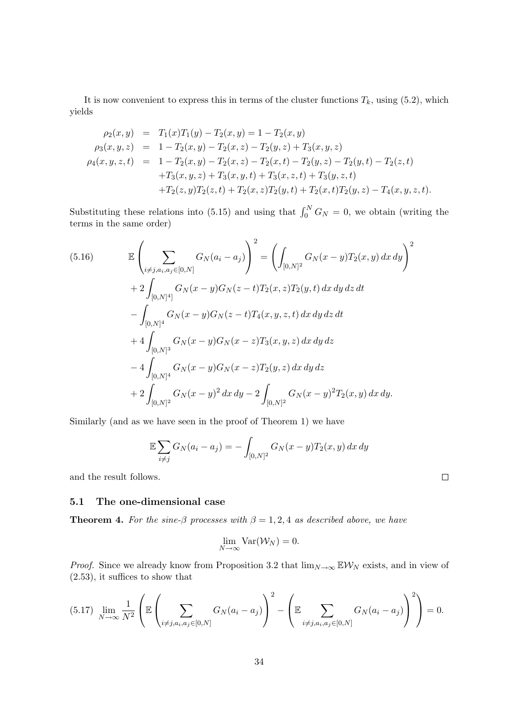It is now convenient to express this in terms of the cluster functions  $T_k$ , using (5.2), which yields

$$
\rho_2(x, y) = T_1(x)T_1(y) - T_2(x, y) = 1 - T_2(x, y)
$$
  
\n
$$
\rho_3(x, y, z) = 1 - T_2(x, y) - T_2(x, z) - T_2(y, z) + T_3(x, y, z)
$$
  
\n
$$
\rho_4(x, y, z, t) = 1 - T_2(x, y) - T_2(x, z) - T_2(x, t) - T_2(y, z) - T_2(y, t) - T_2(z, t)
$$
  
\n
$$
+ T_3(x, y, z) + T_3(x, y, t) + T_3(x, z, t) + T_3(y, z, t)
$$
  
\n
$$
+ T_2(z, y)T_2(z, t) + T_2(x, z)T_2(y, t) + T_2(x, t)T_2(y, z) - T_4(x, y, z, t).
$$

Substituting these relations into (5.15) and using that  $\int_0^N G_N = 0$ , we obtain (writing the terms in the same order)

(5.16) 
$$
\mathbb{E}\left(\sum_{i \neq j, a_i, a_j \in [0, N]} G_N(a_i - a_j)\right)^2 = \left(\int_{[0, N]^2} G_N(x - y)T_2(x, y) dx dy\right)^2
$$

$$
+ 2 \int_{[0, N]^4} G_N(x - y)G_N(z - t)T_2(x, z)T_2(y, t) dx dy dz dt
$$

$$
- \int_{[0, N]^4} G_N(x - y)G_N(z - t)T_4(x, y, z, t) dx dy dz dt
$$

$$
+ 4 \int_{[0, N]^3} G_N(x - y)G_N(x - z)T_3(x, y, z) dx dy dz
$$

$$
- 4 \int_{[0, N]^4} G_N(x - y)G_N(x - z)T_2(y, z) dx dy dz
$$

$$
+ 2 \int_{[0, N]^2} G_N(x - y)^2 dx dy - 2 \int_{[0, N]^2} G_N(x - y)^2 T_2(x, y) dx dy.
$$

Similarly (and as we have seen in the proof of Theorem 1) we have

$$
\mathbb{E}\sum_{i \neq j} G_N(a_i - a_j) = -\int_{[0,N]^2} G_N(x - y) T_2(x, y) \, dx \, dy
$$

and the result follows.

### 5.1 The one-dimensional case

**Theorem 4.** For the sine- $\beta$  processes with  $\beta = 1, 2, 4$  as described above, we have

$$
\lim_{N\to\infty} \text{Var}(\mathcal{W}_N)=0.
$$

*Proof.* Since we already know from Proposition 3.2 that  $\lim_{N\to\infty} \mathbb{E} \mathcal{W}_N$  exists, and in view of (2.53), it suffices to show that

$$
(5.17) \lim_{N \to \infty} \frac{1}{N^2} \left( \mathbb{E} \left( \sum_{i \neq j, a_i, a_j \in [0,N]} G_N(a_i - a_j) \right)^2 - \left( \mathbb{E} \sum_{i \neq j, a_i, a_j \in [0,N]} G_N(a_i - a_j) \right)^2 \right) = 0.
$$

 $\Box$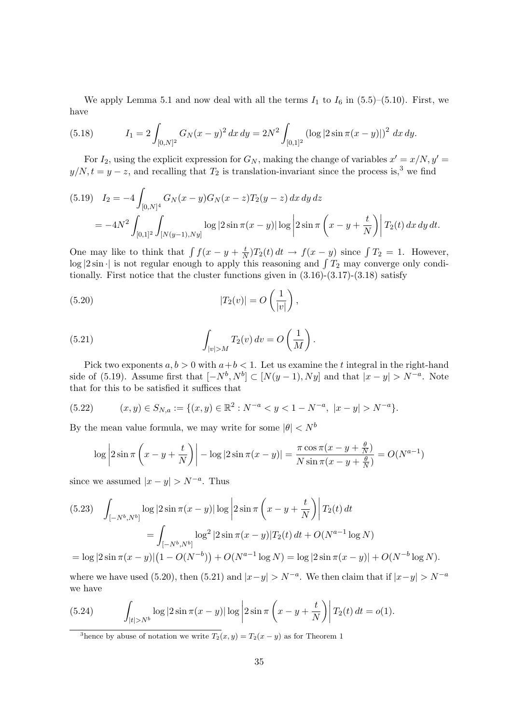We apply Lemma 5.1 and now deal with all the terms  $I_1$  to  $I_6$  in (5.5)–(5.10). First, we have

(5.18) 
$$
I_1 = 2 \int_{[0,N]^2} G_N(x-y)^2 dx dy = 2N^2 \int_{[0,1]^2} (\log|2\sin \pi (x-y)|)^2 dx dy.
$$

For  $I_2$ , using the explicit expression for  $G_N$ , making the change of variables  $x' = x/N$ ,  $y' = x/2$  $y/N, t = y - z$ , and recalling that  $T_2$  is translation-invariant since the process is,<sup>3</sup> we find

$$
(5.19) \quad I_2 = -4 \int_{[0,N]^4} G_N(x-y)G_N(x-z)T_2(y-z) \, dx \, dy \, dz
$$
  
=  $-4N^2 \int_{[0,1]^2} \int_{[N(y-1),Ny]} \log|2 \sin \pi (x-y)| \log \left|2 \sin \pi \left(x-y+\frac{t}{N}\right)\right| T_2(t) \, dx \, dy \, dt.$ 

One may like to think that  $\int f(x - y + \frac{t}{\lambda})$  $\frac{t}{N}$ ) $T_2(t) dt \rightarrow f(x - y)$  since  $\int T_2 = 1$ . However,  $\log |2 \sin \cdot|$  is not regular enough to apply this reasoning and  $\int T_2$  may converge only conditionally. First notice that the cluster functions given in  $(3.16)-(3.17)-(3.18)$  satisfy

(5.20) 
$$
|T_2(v)| = O\left(\frac{1}{|v|}\right),
$$

(5.21) 
$$
\int_{|v|>M} T_2(v) dv = O\left(\frac{1}{M}\right).
$$

Pick two exponents  $a, b > 0$  with  $a + b < 1$ . Let us examine the t integral in the right-hand side of (5.19). Assume first that  $[-N^b, N^b] \subset [N(y-1), Ny]$  and that  $|x-y| > N^{-a}$ . Note that for this to be satisfied it suffices that

$$
(5.22) \qquad (x,y) \in S_{N,a} := \{ (x,y) \in \mathbb{R}^2 : N^{-a} < y < 1 - N^{-a}, \ |x - y| > N^{-a} \}.
$$

By the mean value formula, we may write for some  $|\theta| < N^b$ 

$$
\log \left| 2\sin \pi \left( x - y + \frac{t}{N} \right) \right| - \log \left| 2\sin \pi (x - y) \right| = \frac{\pi \cos \pi (x - y + \frac{\theta}{N})}{N \sin \pi (x - y + \frac{\theta}{N})} = O(N^{a-1})
$$

since we assumed  $|x-y| > N^{-a}$ . Thus

$$
(5.23) \quad \int_{[-N^b, N^b]} \log|2\sin\pi(x-y)|\log\left|2\sin\pi\left(x-y+\frac{t}{N}\right)\right|T_2(t) dt
$$

$$
= \int_{[-N^b, N^b]} \log^2|2\sin\pi(x-y)|T_2(t) dt + O(N^{a-1}\log N)
$$

$$
= \log|2\sin\pi(x-y)|\left(1 - O(N^{-b})\right) + O(N^{a-1}\log N) = \log|2\sin\pi(x-y)| + O(N^{-b}\log N).
$$

where we have used (5.20), then (5.21) and  $|x-y| > N^{-a}$ . We then claim that if  $|x-y| > N^{-a}$ we have

(5.24) 
$$
\int_{|t|>N^b} \log|2\sin \pi(x-y)| \log \left|2\sin \pi \left(x-y+\frac{t}{N}\right)\right| T_2(t) dt = o(1).
$$

<sup>3</sup>hence by abuse of notation we write  $T_2(x, y) = T_2(x - y)$  as for Theorem 1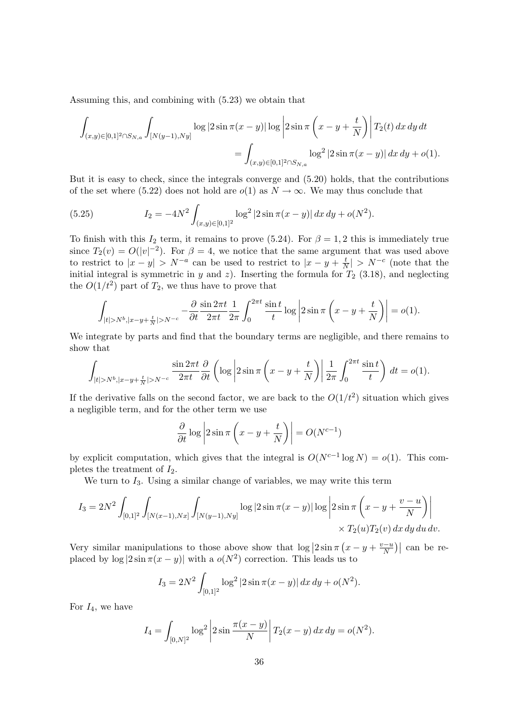Assuming this, and combining with (5.23) we obtain that

$$
\int_{(x,y)\in[0,1]^2\cap S_{N,a}} \int_{[N(y-1),Ny]} \log|2\sin\pi(x-y)|\log\left|2\sin\pi\left(x-y+\frac{t}{N}\right)\right| T_2(t) dx dy dt
$$
  
= 
$$
\int_{(x,y)\in[0,1]^2\cap S_{N,a}} \log^2|2\sin\pi(x-y)| dx dy + o(1).
$$

But it is easy to check, since the integrals converge and (5.20) holds, that the contributions of the set where (5.22) does not hold are  $o(1)$  as  $N \to \infty$ . We may thus conclude that

(5.25) 
$$
I_2 = -4N^2 \int_{(x,y)\in[0,1]^2} \log^2|2\sin\pi(x-y)|\,dx\,dy + o(N^2).
$$

To finish with this  $I_2$  term, it remains to prove (5.24). For  $\beta = 1, 2$  this is immediately true since  $T_2(v) = O(|v|^{-2})$ . For  $\beta = 4$ , we notice that the same argument that was used above to restrict to  $|x-y| > N^{-a}$  can be used to restrict to  $|x-y| \neq \frac{t}{N}$  $\frac{t}{N}$  >  $N^{-c}$  (note that the initial integral is symmetric in y and z). Inserting the formula for  $T_2$  (3.18), and neglecting the  $O(1/t^2)$  part of  $T_2$ , we thus have to prove that

$$
\int_{|t|>N^b,|x-y+\frac{t}{N}|>N^{-c}} -\frac{\partial \sin 2\pi t}{\partial t} \frac{1}{2\pi t} \int_0^{2\pi t} \frac{\sin t}{t} \log \left|2\sin \pi \left(x-y+\frac{t}{N}\right)\right| = o(1).
$$

We integrate by parts and find that the boundary terms are negligible, and there remains to show that

$$
\int_{|t|>N^b,|x-y+\frac{t}{N}|>N^{-c}} \frac{\sin 2\pi t}{2\pi t} \frac{\partial}{\partial t} \left( \log \left| 2\sin \pi \left( x-y+\frac{t}{N} \right) \right| \frac{1}{2\pi} \int_0^{2\pi t} \frac{\sin t}{t} \right) dt = o(1).
$$

If the derivative falls on the second factor, we are back to the  $O(1/t^2)$  situation which gives a negligible term, and for the other term we use

$$
\frac{\partial}{\partial t} \log \left| 2 \sin \pi \left( x - y + \frac{t}{N} \right) \right| = O(N^{c-1})
$$

by explicit computation, which gives that the integral is  $O(N^{c-1} \log N) = o(1)$ . This completes the treatment of  $I_2$ .

We turn to  $I_3$ . Using a similar change of variables, we may write this term

$$
I_3 = 2N^2 \int_{[0,1]^2} \int_{[N(x-1),Nx]} \int_{[N(y-1),Ny]} \log|2\sin\pi(x-y)| \log\left|2\sin\pi\left(x-y+\frac{v-u}{N}\right)\right| \times T_2(u)T_2(v) dx dy du dv.
$$

Very similar manipulations to those above show that  $\log |2 \sin \pi (x - y + \frac{v - u}{N})|$  $\left|\frac{n-u}{N}\right|$  can be replaced by  $\log |2 \sin \pi (x - y)|$  with a  $o(N^2)$  correction. This leads us to

$$
I_3 = 2N^2 \int_{[0,1]^2} \log^2 |2 \sin \pi (x - y)| \, dx \, dy + o(N^2).
$$

For  $I_4$ , we have

$$
I_4 = \int_{[0,N]^2} \log^2 \left| 2 \sin \frac{\pi (x-y)}{N} \right| T_2(x-y) \, dx \, dy = o(N^2).
$$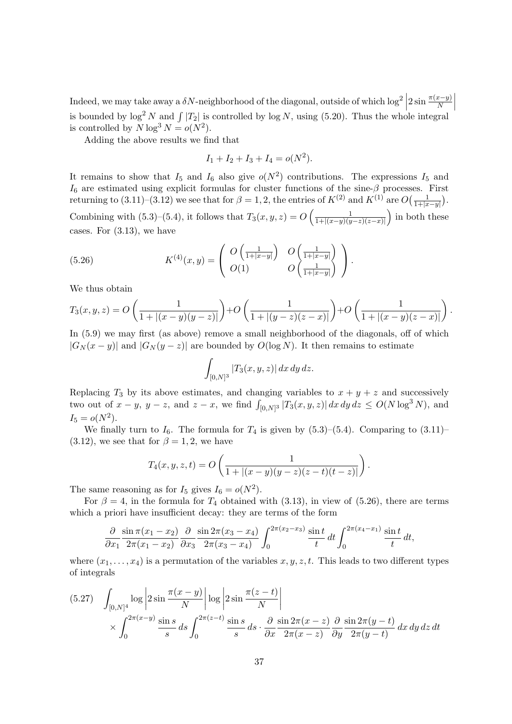Indeed, we may take away a  $\delta N$ -neighborhood of the diagonal, outside of which  $\log^2 |2 \sin \frac{\pi(x-y)}{N}|$ is bounded by  $\log^2 N$  and  $\int |T_2|$  is controlled by  $\log N$ , using (5.20). Thus the whole integral is controlled by  $N \log^3 N = o(N^2)$ .

Adding the above results we find that

$$
I_1 + I_2 + I_3 + I_4 = o(N^2).
$$

It remains to show that  $I_5$  and  $I_6$  also give  $o(N^2)$  contributions. The expressions  $I_5$  and  $I_6$  are estimated using explicit formulas for cluster functions of the sine- $\beta$  processes. First returning to (3.11)–(3.12) we see that for  $\beta = 1, 2$ , the entries of  $K^{(2)}$  and  $K^{(1)}$  are  $O\left(\frac{1}{1+k^2}\right)$  $\frac{1}{1+|x-y|}$ ). Combining with  $(5.3)$ – $(5.4)$ , it follows that  $T_3(x, y, z) = O\left(\frac{1}{1 + |(x - y)|}$  $\frac{1}{1+|(x-y)(y-z)(z-x)|}$  in both these cases. For (3.13), we have

(5.26) 
$$
K^{(4)}(x,y) = \begin{pmatrix} O\left(\frac{1}{1+|x-y|}\right) & O\left(\frac{1}{1+|x-y|}\right) \\ O(1) & O\left(\frac{1}{1+|x-y|}\right) \end{pmatrix}.
$$

We thus obtain

$$
T_3(x, y, z) = O\left(\frac{1}{1 + |(x - y)(y - z)|}\right) + O\left(\frac{1}{1 + |(y - z)(z - x)|}\right) + O\left(\frac{1}{1 + |(x - y)(z - x)|}\right).
$$

In (5.9) we may first (as above) remove a small neighborhood of the diagonals, off of which  $|G_N(x-y)|$  and  $|G_N(y-z)|$  are bounded by  $O(\log N)$ . It then remains to estimate

$$
\int_{[0,N]^3} |T_3(x,y,z)| \, dx \, dy \, dz.
$$

Replacing  $T_3$  by its above estimates, and changing variables to  $x + y + z$  and successively two out of  $x - y$ ,  $y - z$ , and  $z - x$ , we find  $\int_{[0,N]^3} |T_3(x, y, z)| dx dy dz \le O(N \log^3 N)$ , and  $I_5 = o(N^2)$ .

We finally turn to  $I_6$ . The formula for  $T_4$  is given by  $(5.3)$ – $(5.4)$ . Comparing to  $(3.11)$ –  $(3.12)$ , we see that for  $\beta = 1, 2$ , we have

$$
T_4(x, y, z, t) = O\left(\frac{1}{1 + |(x - y)(y - z)(z - t)(t - z)|}\right).
$$

The same reasoning as for  $I_5$  gives  $I_6 = o(N^2)$ .

For  $\beta = 4$ , in the formula for  $T_4$  obtained with (3.13), in view of (5.26), there are terms which a priori have insufficient decay: they are terms of the form

$$
\frac{\partial}{\partial x_1} \frac{\sin \pi (x_1 - x_2)}{2\pi (x_1 - x_2)} \frac{\partial}{\partial x_3} \frac{\sin 2\pi (x_3 - x_4)}{2\pi (x_3 - x_4)} \int_0^{2\pi (x_2 - x_3)} \frac{\sin t}{t} dt \int_0^{2\pi (x_4 - x_1)} \frac{\sin t}{t} dt,
$$

where  $(x_1, \ldots, x_4)$  is a permutation of the variables  $x, y, z, t$ . This leads to two different types of integrals

$$
(5.27) \quad \int_{[0,N]^4} \log \left| 2 \sin \frac{\pi(x-y)}{N} \right| \log \left| 2 \sin \frac{\pi(z-t)}{N} \right|
$$
  
\$\times \int\_{0}^{2\pi(x-y)} \frac{\sin s}{s} ds \int\_{0}^{2\pi(z-t)} \frac{\sin s}{s} ds \cdot \frac{\partial}{\partial x} \frac{\sin 2\pi(x-z)}{2\pi(x-z)} \frac{\partial}{\partial y} \frac{\sin 2\pi(y-t)}{2\pi(y-t)} dx dy dz dt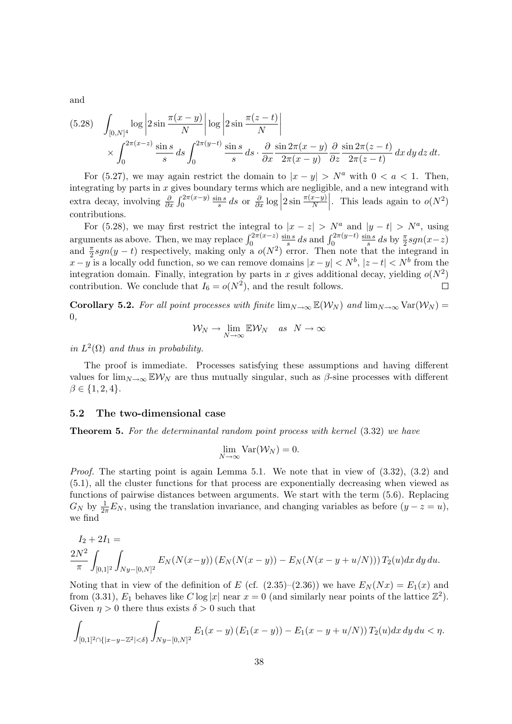and

$$
(5.28) \quad \int_{[0,N]^4} \log \left| 2 \sin \frac{\pi (x-y)}{N} \right| \log \left| 2 \sin \frac{\pi (z-t)}{N} \right|
$$
  
\$\times \int\_{0}^{2\pi (x-z)} \frac{\sin s}{s} ds \int\_{0}^{2\pi (y-t)} \frac{\sin s}{s} ds \cdot \frac{\partial}{\partial x} \frac{\sin 2\pi (x-y)}{2\pi (x-y)} \frac{\partial}{\partial z} \frac{\sin 2\pi (z-t)}{2\pi (z-t)} dx dy dz dt.

For (5.27), we may again restrict the domain to  $|x - y| > N^a$  with  $0 < a < 1$ . Then, integrating by parts in  $x$  gives boundary terms which are negligible, and a new integrand with extra decay, involving  $\frac{\partial}{\partial x} \int_0^{2\pi(x-y)}$  $\sin s$  $\frac{\ln s}{s} ds$  or  $\frac{\partial}{\partial x} \log \Big|$  $2\sin\frac{\pi(x-y)}{N}$ . This leads again to  $o(N^2)$ contributions.

For (5.28), we may first restrict the integral to  $|x-z| > N^a$  and  $|y-t| > N^a$ , using arguments as above. Then, we may replace  $\int_0^{2\pi(x-z)}$  $\frac{\ln s}{s}$  ds and  $\int_0^{2\pi(y-t)}$  $\sin s$ sin s  $\frac{\ln s}{s} ds$  by  $\frac{\pi}{2} sgn(x-z)$ and  $\frac{\pi}{2}sgn(y-t)$  respectively, making only a  $o(N^2)$  error. Then note that the integrand in  $x - y$  is a locally odd function, so we can remove domains  $|x - y| < N^b$ ,  $|z - t| < N^b$  from the integration domain. Finally, integration by parts in x gives additional decay, yielding  $o(N^2)$ contribution. We conclude that  $I_6 = o(N^2)$ , and the result follows.  $\Box$ 

Corollary 5.2. For all point processes with finite  $\lim_{N\to\infty} \mathbb{E}(\mathcal{W}_N)$  and  $\lim_{N\to\infty} \text{Var}(\mathcal{W}_N)$ 0,

$$
\mathcal{W}_N \to \lim_{N \to \infty} \mathbb{E} \mathcal{W}_N \quad \text{as} \quad N \to \infty
$$

in  $L^2(\Omega)$  and thus in probability.

The proof is immediate. Processes satisfying these assumptions and having different values for  $\lim_{N\to\infty}$  EW<sub>N</sub> are thus mutually singular, such as  $\beta$ -sine processes with different  $\beta \in \{1, 2, 4\}.$ 

#### 5.2 The two-dimensional case

Theorem 5. For the determinantal random point process with kernel (3.32) we have

$$
\lim_{N \to \infty} \text{Var}(\mathcal{W}_N) = 0.
$$

Proof. The starting point is again Lemma 5.1. We note that in view of  $(3.32)$ ,  $(3.2)$  and (5.1), all the cluster functions for that process are exponentially decreasing when viewed as functions of pairwise distances between arguments. We start with the term (5.6). Replacing  $G_N$  by  $\frac{1}{2\pi}E_N$ , using the translation invariance, and changing variables as before  $(y-z=u)$ , we find

$$
I_2 + 2I_1 =
$$
  

$$
\frac{2N^2}{\pi} \int_{[0,1]^2} \int_{Ny - [0,N]^2} E_N(N(x-y)) (E_N(N(x-y)) - E_N(N(x-y+u/N))) T_2(u) dx dy du.
$$

Noting that in view of the definition of E (cf.  $(2.35)-(2.36)$ ) we have  $E<sub>N</sub>(Nx) = E<sub>1</sub>(x)$  and from (3.31),  $E_1$  behaves like  $C \log |x|$  near  $x = 0$  (and similarly near points of the lattice  $\mathbb{Z}^2$ ). Given  $\eta > 0$  there thus exists  $\delta > 0$  such that

$$
\int_{[0,1]^2 \cap \{|x-y-\mathbb{Z}^2| < \delta\}} \int_{Ny-[0,N]^2} E_1(x-y) \left( E_1(x-y) \right) - E_1(x-y+u/N) \right) T_2(u) dx dy du < \eta.
$$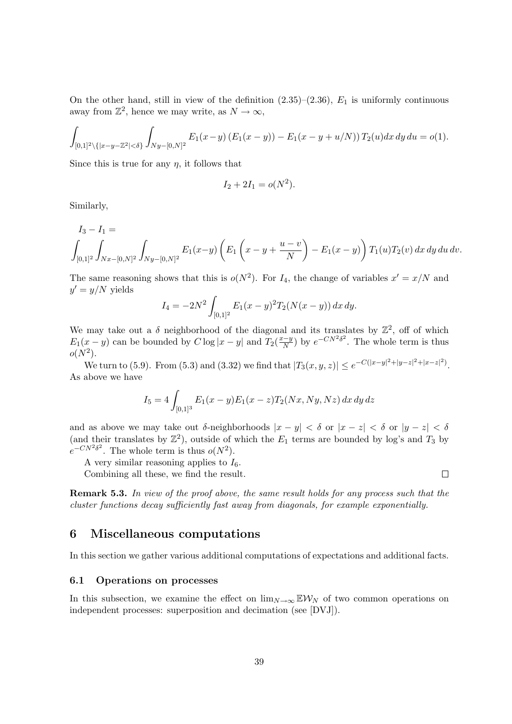On the other hand, still in view of the definition  $(2.35)-(2.36)$ ,  $E_1$  is uniformly continuous away from  $\mathbb{Z}^2$ , hence we may write, as  $N \to \infty$ ,

$$
\int_{[0,1]^2 \setminus \{|x-y-\mathbb{Z}^2| < \delta\}} \int_{Ny-[0,N]^2} E_1(x-y) \left( E_1(x-y) \right) - E_1(x-y+u/N) \right) T_2(u) dx dy du = o(1).
$$

Since this is true for any  $\eta$ , it follows that

$$
I_2 + 2I_1 = o(N^2).
$$

Similarly,

$$
I_3 - I_1 =
$$
  

$$
\int_{[0,1]^2} \int_{Nx - [0,N]^2} \int_{Ny - [0,N]^2} E_1(x-y) \left( E_1 \left( x - y + \frac{u - v}{N} \right) - E_1(x-y) \right) T_1(u) T_2(v) dx dy du dv.
$$

The same reasoning shows that this is  $o(N^2)$ . For  $I_4$ , the change of variables  $x' = x/N$  and  $y' = y/N$  yields

$$
I_4 = -2N^2 \int_{[0,1]^2} E_1(x-y)^2 T_2(N(x-y)) \, dx \, dy.
$$

We may take out a  $\delta$  neighborhood of the diagonal and its translates by  $\mathbb{Z}^2$ , off of which  $E_1(x - y)$  can be bounded by  $C \log |x - y|$  and  $T_2(\frac{x-y}{N})$  $\frac{N- y}{N}$  by  $e^{-CN^2\delta^2}$ . The whole term is thus  $o(N^2)$ .

We turn to (5.9). From (5.3) and (3.32) we find that  $|T_3(x, y, z)| \le e^{-C(|x-y|^2 + |y-z|^2 + |x-z|^2)}$ . As above we have

$$
I_5 = 4 \int_{[0,1]^3} E_1(x-y) E_1(x-z) T_2(Nx, Ny, Nz) dx dy dz
$$

and as above we may take out δ-neighborhoods  $|x - y| < \delta$  or  $|x - z| < \delta$  or  $|y - z| < \delta$ (and their translates by  $\mathbb{Z}^2$ ), outside of which the  $E_1$  terms are bounded by log's and  $T_3$  by  $e^{-CN^2\delta^2}$ . The whole term is thus  $o(N^2)$ .

A very similar reasoning applies to  $I_6$ .

Combining all these, we find the result.

Remark 5.3. In view of the proof above, the same result holds for any process such that the cluster functions decay sufficiently fast away from diagonals, for example exponentially.

## 6 Miscellaneous computations

In this section we gather various additional computations of expectations and additional facts.

#### 6.1 Operations on processes

In this subsection, we examine the effect on  $\lim_{N\to\infty}$  EW<sub>N</sub> of two common operations on independent processes: superposition and decimation (see [DVJ]).

 $\Box$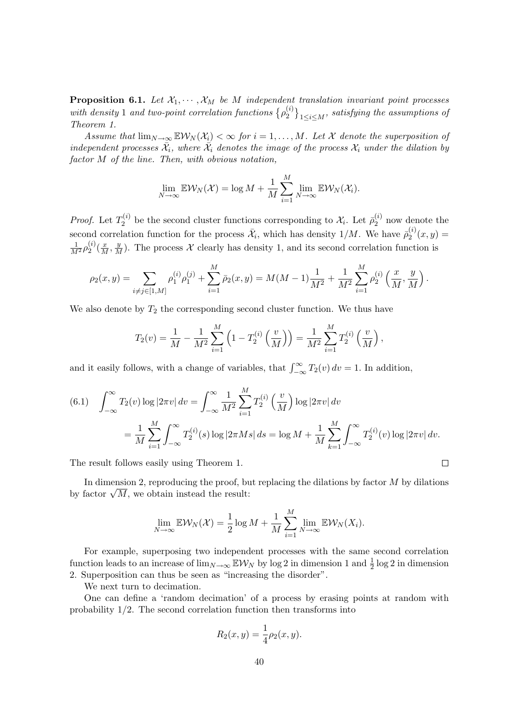**Proposition 6.1.** Let  $X_1, \dots, X_M$  be M independent translation invariant point processes with density 1 and two-point correlation functions  $\{\rho_2^{(i)}\}$  $\{2^{(i)}\}_{1\leq i\leq M}$ , satisfying the assumptions of Theorem 1.

Assume that  $\lim_{N\to\infty}$   $\mathbb{E}W_N(\mathcal{X}_i)<\infty$  for  $i=1,\ldots,M$ . Let X denote the superposition of independent processes  $\bar{\mathcal{X}}_i$ , where  $\bar{\mathcal{X}}_i$  denotes the image of the process  $\mathcal{X}_i$  under the dilation by factor M of the line. Then, with obvious notation,

$$
\lim_{N\to\infty} \mathbb{E}\mathcal{W}_N(\mathcal{X}) = \log M + \frac{1}{M}\sum_{i=1}^M \lim_{N\to\infty} \mathbb{E}\mathcal{W}_N(\mathcal{X}_i).
$$

*Proof.* Let  $T_2^{(i)}$  $\mathcal{Z}_2^{(i)}$  be the second cluster functions corresponding to  $\mathcal{X}_i$ . Let  $\bar{\rho}_2^{(i)}$  $\zeta_2^{(i)}$  now denote the second correlation function for the process  $\bar{\mathcal{X}}_i$ , which has density  $1/M$ . We have  $\bar{\rho}_2^{(i)}$  $S_2^{(i)}(x,y) =$  $\frac{1}{M^2}\rho_2^{(i)}$  $\frac{1}{2}(\frac{x}{M}, \frac{y}{M})$ . The process X clearly has density 1, and its second correlation function is

$$
\rho_2(x,y) = \sum_{i \neq j \in [1,M]} \rho_1^{(i)} \rho_1^{(j)} + \sum_{i=1}^M \bar{\rho}_2(x,y) = M(M-1) \frac{1}{M^2} + \frac{1}{M^2} \sum_{i=1}^M \rho_2^{(i)} \left(\frac{x}{M}, \frac{y}{M}\right).
$$

We also denote by  $T_2$  the corresponding second cluster function. We thus have

$$
T_2(v) = \frac{1}{M} - \frac{1}{M^2} \sum_{i=1}^{M} \left( 1 - T_2^{(i)} \left( \frac{v}{M} \right) \right) = \frac{1}{M^2} \sum_{i=1}^{M} T_2^{(i)} \left( \frac{v}{M} \right),
$$

and it easily follows, with a change of variables, that  $\int_{-\infty}^{\infty} T_2(v) dv = 1$ . In addition,

(6.1) 
$$
\int_{-\infty}^{\infty} T_2(v) \log |2\pi v| dv = \int_{-\infty}^{\infty} \frac{1}{M^2} \sum_{i=1}^{M} T_2^{(i)} \left(\frac{v}{M}\right) \log |2\pi v| dv
$$
  

$$
= \frac{1}{M} \sum_{i=1}^{M} \int_{-\infty}^{\infty} T_2^{(i)}(s) \log |2\pi M s| ds = \log M + \frac{1}{M} \sum_{k=1}^{M} \int_{-\infty}^{\infty} T_2^{(i)}(v) \log |2\pi v| dv.
$$

The result follows easily using Theorem 1.

In dimension 2, reproducing the proof, but replacing the dilations by factor  $M$  by dilations In dimension 2, reproducing the proof, by factor  $\sqrt{M}$ , we obtain instead the result:

 $\Box$ 

$$
\lim_{N \to \infty} \mathbb{E} \mathcal{W}_N(\mathcal{X}) = \frac{1}{2} \log M + \frac{1}{M} \sum_{i=1}^M \lim_{N \to \infty} \mathbb{E} \mathcal{W}_N(X_i).
$$

For example, superposing two independent processes with the same second correlation function leads to an increase of  $\lim_{N\to\infty}$   $\mathbb{E}W_N$  by log 2 in dimension 1 and  $\frac{1}{2}$  log 2 in dimension 2. Superposition can thus be seen as "increasing the disorder".

We next turn to decimation.

One can define a 'random decimation' of a process by erasing points at random with probability 1/2. The second correlation function then transforms into

$$
R_2(x, y) = \frac{1}{4}\rho_2(x, y).
$$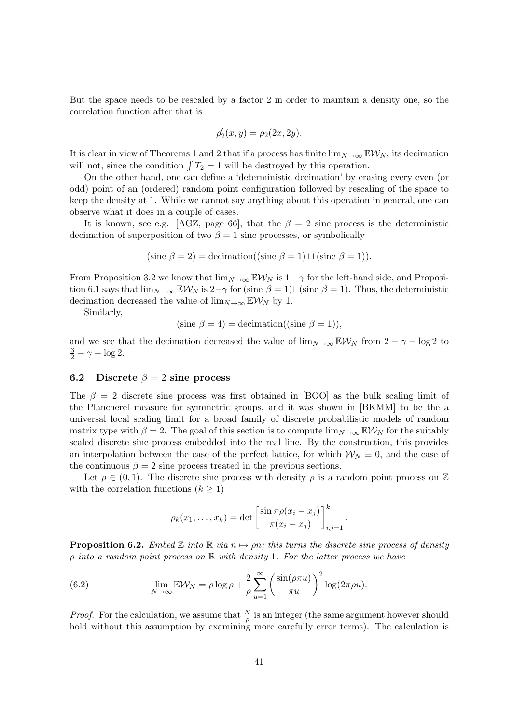But the space needs to be rescaled by a factor 2 in order to maintain a density one, so the correlation function after that is

$$
\rho_2'(x,y) = \rho_2(2x, 2y).
$$

It is clear in view of Theorems 1 and 2 that if a process has finite  $\lim_{N\to\infty} \mathbb{E} \mathcal{W}_N$ , its decimation will not, since the condition  $\int T_2 = 1$  will be destroyed by this operation.

On the other hand, one can define a 'deterministic decimation' by erasing every even (or odd) point of an (ordered) random point configuration followed by rescaling of the space to keep the density at 1. While we cannot say anything about this operation in general, one can observe what it does in a couple of cases.

It is known, see e.g. [AGZ, page 66], that the  $\beta = 2$  sine process is the deterministic decimation of superposition of two  $\beta = 1$  sine processes, or symbolically

(sine 
$$
\beta = 2
$$
) = decimation((sine  $\beta = 1$ )  $\sqcup$  (sine  $\beta = 1$ )).

From Proposition 3.2 we know that  $\lim_{N\to\infty}$  EW<sub>N</sub> is  $1-\gamma$  for the left-hand side, and Proposition 6.1 says that  $\lim_{N\to\infty}$  EW<sub>N</sub> is 2-γ for (sine  $\beta = 1$ ) $\sqcup$  (sine  $\beta = 1$ ). Thus, the deterministic decimation decreased the value of  $\lim_{N\to\infty} \mathbb{E} \mathcal{W}_N$  by 1.

Similarly,

(sine 
$$
\beta = 4
$$
) = decimation((sine  $\beta = 1$ )),

and we see that the decimation decreased the value of  $\lim_{N\to\infty}$  EW<sub>N</sub> from 2 –  $\gamma$  – log 2 to  $\frac{3}{2} - \gamma - \log 2.$ 

#### 6.2 Discrete  $\beta = 2$  sine process

The  $\beta = 2$  discrete sine process was first obtained in [BOO] as the bulk scaling limit of the Plancherel measure for symmetric groups, and it was shown in [BKMM] to be the a universal local scaling limit for a broad family of discrete probabilistic models of random matrix type with  $\beta = 2$ . The goal of this section is to compute  $\lim_{N\to\infty} \mathbb{E} \mathcal{W}_N$  for the suitably scaled discrete sine process embedded into the real line. By the construction, this provides an interpolation between the case of the perfect lattice, for which  $W_N \equiv 0$ , and the case of the continuous  $\beta = 2$  sine process treated in the previous sections.

Let  $\rho \in (0,1)$ . The discrete sine process with density  $\rho$  is a random point process on Z with the correlation functions  $(k > 1)$ 

$$
\rho_k(x_1,\ldots,x_k) = \det\left[\frac{\sin \pi \rho (x_i - x_j)}{\pi (x_i - x_j)}\right]_{i,j=1}^k.
$$

**Proposition 6.2.** Embed Z into R via  $n \mapsto pn$ ; this turns the discrete sine process of density  $\rho$  into a random point process on  $\mathbb R$  with density 1. For the latter process we have

(6.2) 
$$
\lim_{N \to \infty} \mathbb{E} \mathcal{W}_N = \rho \log \rho + \frac{2}{\rho} \sum_{u=1}^{\infty} \left( \frac{\sin(\rho \pi u)}{\pi u} \right)^2 \log(2\pi \rho u).
$$

*Proof.* For the calculation, we assume that  $\frac{N}{\rho}$  is an integer (the same argument however should hold without this assumption by examining more carefully error terms). The calculation is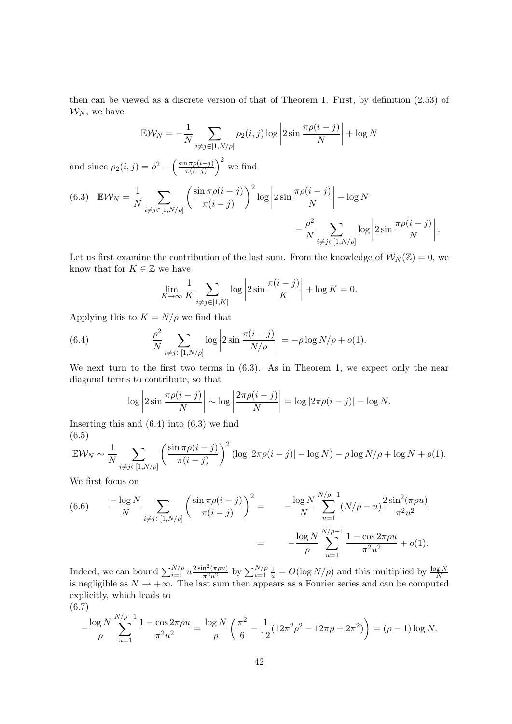then can be viewed as a discrete version of that of Theorem 1. First, by definition (2.53) of  $\mathcal{W}_N$ , we have

$$
\mathbb{E}\mathcal{W}_N = -\frac{1}{N} \sum_{i \neq j \in [1, N/\rho]} \rho_2(i, j) \log \left| 2 \sin \frac{\pi \rho(i - j)}{N} \right| + \log N
$$

and since  $\rho_2(i,j) = \rho^2 - \left(\frac{\sin \pi \rho(i-j)}{\pi(i-j)}\right)$  $\left(\frac{\pi \rho(i-j)}{\pi(i-j)}\right)^2$  we find

(6.3) 
$$
\mathbb{E} \mathcal{W}_N = \frac{1}{N} \sum_{i \neq j \in [1, N/\rho]} \left( \frac{\sin \pi \rho(i-j)}{\pi (i-j)} \right)^2 \log \left| 2 \sin \frac{\pi \rho(i-j)}{N} \right| + \log N - \frac{\rho^2}{N} \sum_{i \neq j \in [1, N/\rho]} \log \left| 2 \sin \frac{\pi \rho(i-j)}{N} \right|.
$$

Let us first examine the contribution of the last sum. From the knowledge of  $\mathcal{W}_N(\mathbb{Z}) = 0$ , we know that for  $K \in \mathbb{Z}$  we have

$$
\lim_{K \to \infty} \frac{1}{K} \sum_{i \neq j \in [1, K]} \log \left| 2 \sin \frac{\pi (i - j)}{K} \right| + \log K = 0.
$$

Applying this to  $K = N/\rho$  we find that

(6.4) 
$$
\frac{\rho^2}{N} \sum_{i \neq j \in [1, N/\rho]} \log \left| 2 \sin \frac{\pi (i - j)}{N/\rho} \right| = -\rho \log N/\rho + o(1).
$$

We next turn to the first two terms in  $(6.3)$ . As in Theorem 1, we expect only the near diagonal terms to contribute, so that

$$
\log \left| 2 \sin \frac{\pi \rho (i-j)}{N} \right| \sim \log \left| \frac{2 \pi \rho (i-j)}{N} \right| = \log \left| 2 \pi \rho (i-j) \right| - \log N.
$$

Inserting this and  $(6.4)$  into  $(6.3)$  we find (6.5)

$$
\mathbb{E}\mathcal{W}_N \sim \frac{1}{N} \sum_{i \neq j \in [1, N/\rho]} \left( \frac{\sin \pi \rho(i-j)}{\pi (i-j)} \right)^2 (\log |2\pi \rho(i-j)| - \log N) - \rho \log N/\rho + \log N + o(1).
$$

We first focus on

(6.6) 
$$
\frac{-\log N}{N} \sum_{i \neq j \in [1, N/\rho]} \left( \frac{\sin \pi \rho(i-j)}{\pi (i-j)} \right)^2 = \frac{-\log N}{N} \sum_{u=1}^{N/\rho - 1} (N/\rho - u) \frac{2 \sin^2(\pi \rho u)}{\pi^2 u^2}
$$

$$
= -\frac{\log N}{\rho} \sum_{u=1}^{N/\rho - 1} \frac{1 - \cos 2\pi \rho u}{\pi^2 u^2} + o(1).
$$

Indeed, we can bound  $\sum_{i=1}^{N/\rho} u \frac{2 \sin^2(\pi \rho u)}{\pi^2 u^2}$  by  $\sum_{i=1}^{N/\rho} \frac{1}{u} = O(\log N/\rho)$  and this multiplied by  $\frac{\log N}{N}$  is negligible as  $N \to +\infty$ . The last sum then appears as a Fourier series and can be computed explicitly, which leads to

$$
(6.7)
$$

$$
-\frac{\log N}{\rho} \sum_{u=1}^{N/\rho-1} \frac{1 - \cos 2\pi \rho u}{\pi^2 u^2} = \frac{\log N}{\rho} \left( \frac{\pi^2}{6} - \frac{1}{12} (12\pi^2 \rho^2 - 12\pi \rho + 2\pi^2) \right) = (\rho - 1) \log N.
$$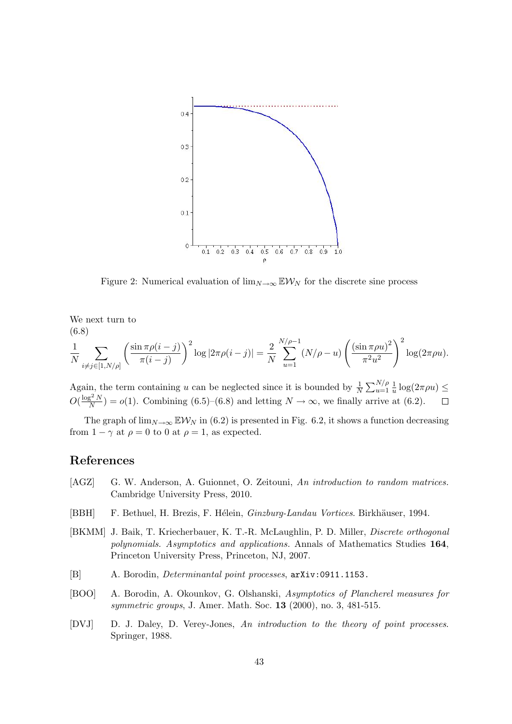

Figure 2: Numerical evaluation of  $\lim_{N\to\infty}$  EW<sub>N</sub> for the discrete sine process

We next turn to (6.8)

$$
\frac{1}{N} \sum_{i \neq j \in [1, N/\rho]} \left( \frac{\sin \pi \rho(i-j)}{\pi (i-j)} \right)^2 \log |2\pi \rho(i-j)| = \frac{2}{N} \sum_{u=1}^{N/\rho-1} (N/\rho - u) \left( \frac{(\sin \pi \rho u)^2}{\pi^2 u^2} \right)^2 \log(2\pi \rho u).
$$

Again, the term containing u can be neglected since it is bounded by  $\frac{1}{N} \sum_{u=1}^{N/\rho} \frac{1}{u}$  $\frac{1}{u} \log(2\pi \rho u) \leq$  $O(\frac{\log^2 N}{N})$  $\frac{N^{2-N}}{N}$  =  $o(1)$ . Combining (6.5)–(6.8) and letting  $N \to \infty$ , we finally arrive at (6.2).

The graph of  $\lim_{N\to\infty}$  EW<sub>N</sub> in (6.2) is presented in Fig. 6.2, it shows a function decreasing from  $1 - \gamma$  at  $\rho = 0$  to 0 at  $\rho = 1$ , as expected.

## References

- [AGZ] G. W. Anderson, A. Guionnet, O. Zeitouni, An introduction to random matrices. Cambridge University Press, 2010.
- [BBH] F. Bethuel, H. Brezis, F. Hélein, Ginzburg-Landau Vortices. Birkhäuser, 1994.
- [BKMM] J. Baik, T. Kriecherbauer, K. T.-R. McLaughlin, P. D. Miller, Discrete orthogonal polynomials. Asymptotics and applications. Annals of Mathematics Studies 164, Princeton University Press, Princeton, NJ, 2007.
- [B] A. Borodin, Determinantal point processes, arXiv:0911.1153.
- [BOO] A. Borodin, A. Okounkov, G. Olshanski, Asymptotics of Plancherel measures for symmetric groups, J. Amer. Math. Soc. 13 (2000), no. 3, 481-515.
- [DVJ] D. J. Daley, D. Verey-Jones, An introduction to the theory of point processes. Springer, 1988.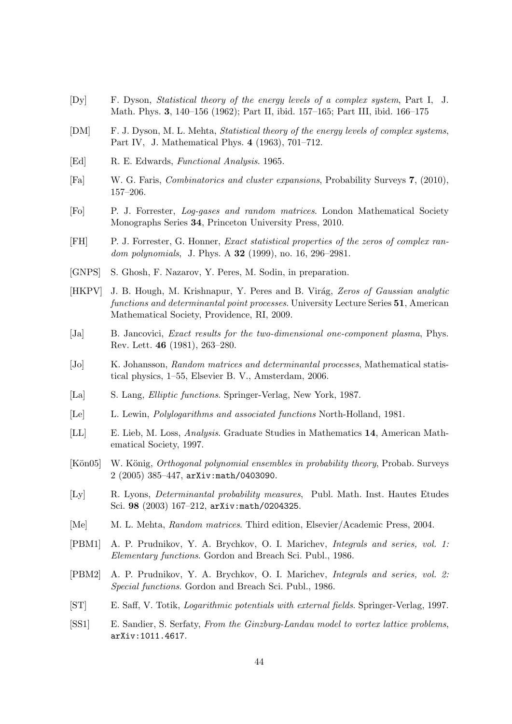- [Dy] F. Dyson, Statistical theory of the energy levels of a complex system, Part I, J. Math. Phys. 3, 140–156 (1962); Part II, ibid. 157–165; Part III, ibid. 166–175
- [DM] F. J. Dyson, M. L. Mehta, Statistical theory of the energy levels of complex systems, Part IV, J. Mathematical Phys. 4 (1963), 701–712.
- [Ed] R. E. Edwards, Functional Analysis. 1965.
- [Fa] W. G. Faris, Combinatorics and cluster expansions, Probability Surveys 7, (2010), 157–206.
- [Fo] P. J. Forrester, Log-gases and random matrices. London Mathematical Society Monographs Series 34, Princeton University Press, 2010.
- [FH] P. J. Forrester, G. Honner, Exact statistical properties of the zeros of complex random polynomials, J. Phys. A **32** (1999), no. 16, 296–2981.
- [GNPS] S. Ghosh, F. Nazarov, Y. Peres, M. Sodin, in preparation.
- [HKPV] J. B. Hough, M. Krishnapur, Y. Peres and B. Virág, Zeros of Gaussian analytic functions and determinantal point processes. University Lecture Series 51, American Mathematical Society, Providence, RI, 2009.
- [Ja] B. Jancovici, *Exact results for the two-dimensional one-component plasma*, Phys. Rev. Lett. 46 (1981), 263–280.
- [Jo] K. Johansson, Random matrices and determinantal processes, Mathematical statistical physics, 1–55, Elsevier B. V., Amsterdam, 2006.
- [La] S. Lang, Elliptic functions. Springer-Verlag, New York, 1987.
- [Le] L. Lewin, Polylogarithms and associated functions North-Holland, 1981.
- [LL] E. Lieb, M. Loss, Analysis. Graduate Studies in Mathematics 14, American Mathematical Society, 1997.
- [Kön05] W. König, *Orthogonal polynomial ensembles in probability theory*, Probab. Surveys 2 (2005) 385–447, arXiv:math/0403090.
- [Ly] R. Lyons, Determinantal probability measures, Publ. Math. Inst. Hautes Etudes Sci. 98 (2003) 167–212, arXiv:math/0204325.
- [Me] M. L. Mehta, Random matrices. Third edition, Elsevier/Academic Press, 2004.
- [PBM1] A. P. Prudnikov, Y. A. Brychkov, O. I. Marichev, Integrals and series, vol. 1: Elementary functions. Gordon and Breach Sci. Publ., 1986.
- [PBM2] A. P. Prudnikov, Y. A. Brychkov, O. I. Marichev, Integrals and series, vol. 2: Special functions. Gordon and Breach Sci. Publ., 1986.
- [ST] E. Saff, V. Totik, Logarithmic potentials with external fields. Springer-Verlag, 1997.
- [SS1] E. Sandier, S. Serfaty, From the Ginzburg-Landau model to vortex lattice problems, arXiv:1011.4617.